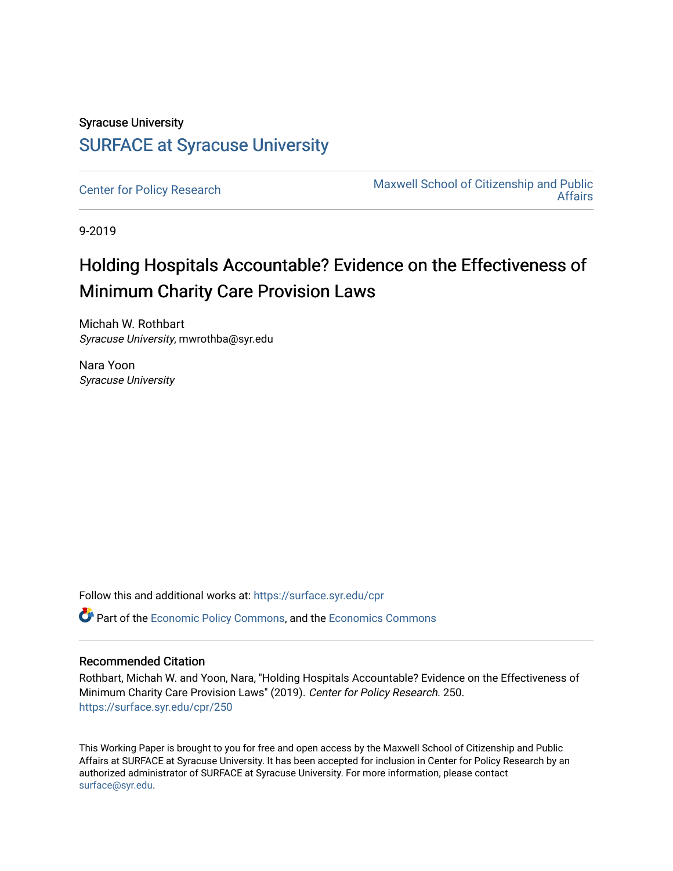# Syracuse University [SURFACE at Syracuse University](https://surface.syr.edu/)

[Center for Policy Research](https://surface.syr.edu/cpr) Maxwell School of Citizenship and Public [Affairs](https://surface.syr.edu/maxwell) 

9-2019

# Holding Hospitals Accountable? Evidence on the Effectiveness of Minimum Charity Care Provision Laws

Michah W. Rothbart Syracuse University, mwrothba@syr.edu

Nara Yoon Syracuse University

Follow this and additional works at: [https://surface.syr.edu/cpr](https://surface.syr.edu/cpr?utm_source=surface.syr.edu%2Fcpr%2F250&utm_medium=PDF&utm_campaign=PDFCoverPages) 

**C** Part of the [Economic Policy Commons](http://network.bepress.com/hgg/discipline/1025?utm_source=surface.syr.edu%2Fcpr%2F250&utm_medium=PDF&utm_campaign=PDFCoverPages), and the [Economics Commons](http://network.bepress.com/hgg/discipline/340?utm_source=surface.syr.edu%2Fcpr%2F250&utm_medium=PDF&utm_campaign=PDFCoverPages)

# Recommended Citation

Rothbart, Michah W. and Yoon, Nara, "Holding Hospitals Accountable? Evidence on the Effectiveness of Minimum Charity Care Provision Laws" (2019). Center for Policy Research. 250. [https://surface.syr.edu/cpr/250](https://surface.syr.edu/cpr/250?utm_source=surface.syr.edu%2Fcpr%2F250&utm_medium=PDF&utm_campaign=PDFCoverPages) 

This Working Paper is brought to you for free and open access by the Maxwell School of Citizenship and Public Affairs at SURFACE at Syracuse University. It has been accepted for inclusion in Center for Policy Research by an authorized administrator of SURFACE at Syracuse University. For more information, please contact [surface@syr.edu.](mailto:surface@syr.edu)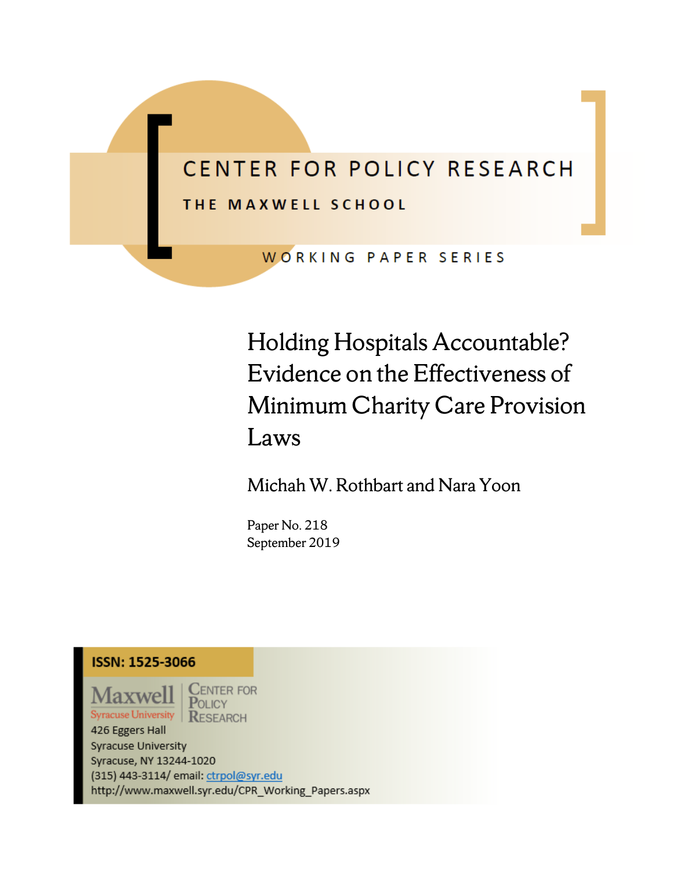# CENTER FOR POLICY RESEARCH THE MAXWELL SCHOOL

WORKING PAPER SERIES

Holding Hospitals Accountable? Evidence on the Effectiveness of Minimum Charity Care Provision Laws

Michah W. Rothbart and Nara Yoon

Paper No. 218 September 2019

**ISSN: 1525-3066** 

**Maxwel Syracuse University** 

**CENTER FOR**  $P$ OLICY **RESEARCH** 

426 Eggers Hall **Syracuse University** Syracuse, NY 13244-1020 (315) 443-3114/ email: ctrpol@syr.edu http://www.maxwell.syr.edu/CPR\_Working\_Papers.aspx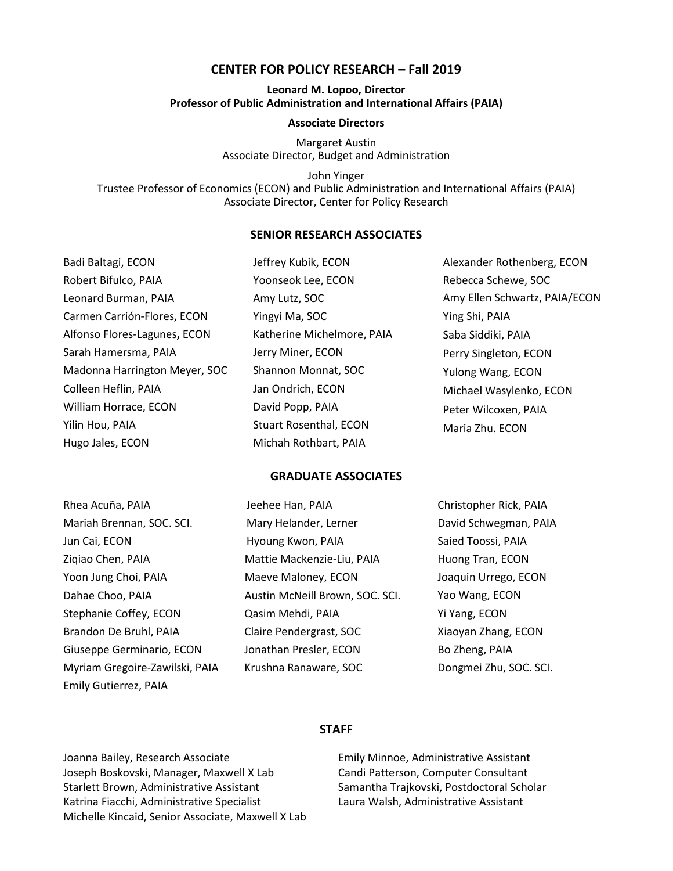### **CENTER FOR POLICY RESEARCH – Fall 2019**

#### **Leonard M. Lopoo, Director Professor of Public Administration and International Affairs (PAIA)**

#### **Associate Directors**

Margaret Austin Associate Director, Budget and Administration

John Yinger Trustee Professor of Economics (ECON) and Public Administration and International Affairs (PAIA) Associate Director, Center for Policy Research

### **SENIOR RESEARCH ASSOCIATES**

| Badi Baltagi, ECON            | Jeffrey Kubik, ECON           | Alexander Rothenberg, ECON    |
|-------------------------------|-------------------------------|-------------------------------|
| Robert Bifulco, PAIA          | Yoonseok Lee, ECON            | Rebecca Schewe, SOC           |
| Leonard Burman, PAIA          | Amy Lutz, SOC                 | Amy Ellen Schwartz, PAIA/ECON |
| Carmen Carrión-Flores, ECON   | Yingyi Ma, SOC                | Ying Shi, PAIA                |
| Alfonso Flores-Lagunes, ECON  | Katherine Michelmore, PAIA    | Saba Siddiki, PAIA            |
| Sarah Hamersma, PAIA          | Jerry Miner, ECON             | Perry Singleton, ECON         |
| Madonna Harrington Meyer, SOC | Shannon Monnat, SOC           | Yulong Wang, ECON             |
| Colleen Heflin, PAIA          | Jan Ondrich, ECON             | Michael Wasylenko, ECON       |
| William Horrace, ECON         | David Popp, PAIA              | Peter Wilcoxen, PAIA          |
| Yilin Hou, PAIA               | <b>Stuart Rosenthal, ECON</b> | Maria Zhu. ECON               |
| Hugo Jales, ECON              | Michah Rothbart, PAIA         |                               |

#### **GRADUATE ASSOCIATES**

| Rhea Acuña, PAIA               | Jeehee Han, PAIA                | Christopher Rick, PAIA |
|--------------------------------|---------------------------------|------------------------|
| Mariah Brennan, SOC. SCI.      | Mary Helander, Lerner           | David Schwegman, PAIA  |
| Jun Cai, ECON                  | Hyoung Kwon, PAIA               | Saied Toossi, PAIA     |
| Zigiao Chen, PAIA              | Mattie Mackenzie-Liu, PAIA      | Huong Tran, ECON       |
| Yoon Jung Choi, PAIA           | Maeve Maloney, ECON             | Joaquin Urrego, ECON   |
| Dahae Choo, PAIA               | Austin McNeill Brown, SOC. SCI. | Yao Wang, ECON         |
| Stephanie Coffey, ECON         | Qasim Mehdi, PAIA               | Yi Yang, ECON          |
| Brandon De Bruhl, PAIA         | Claire Pendergrast, SOC         | Xiaoyan Zhang, ECON    |
| Giuseppe Germinario, ECON      | Jonathan Presler, ECON          | Bo Zheng, PAIA         |
| Myriam Gregoire-Zawilski, PAIA | Krushna Ranaware, SOC           | Dongmei Zhu, SOC. SCI. |
| Emily Gutierrez, PAIA          |                                 |                        |

#### **STAFF**

Joanna Bailey, Research Associate Joseph Boskovski, Manager, Maxwell X Lab Starlett Brown, Administrative Assistant Katrina Fiacchi, Administrative Specialist Michelle Kincaid, Senior Associate, Maxwell X Lab

Emily Minnoe, Administrative Assistant Candi Patterson, Computer Consultant Samantha Trajkovski, Postdoctoral Scholar Laura Walsh, Administrative Assistant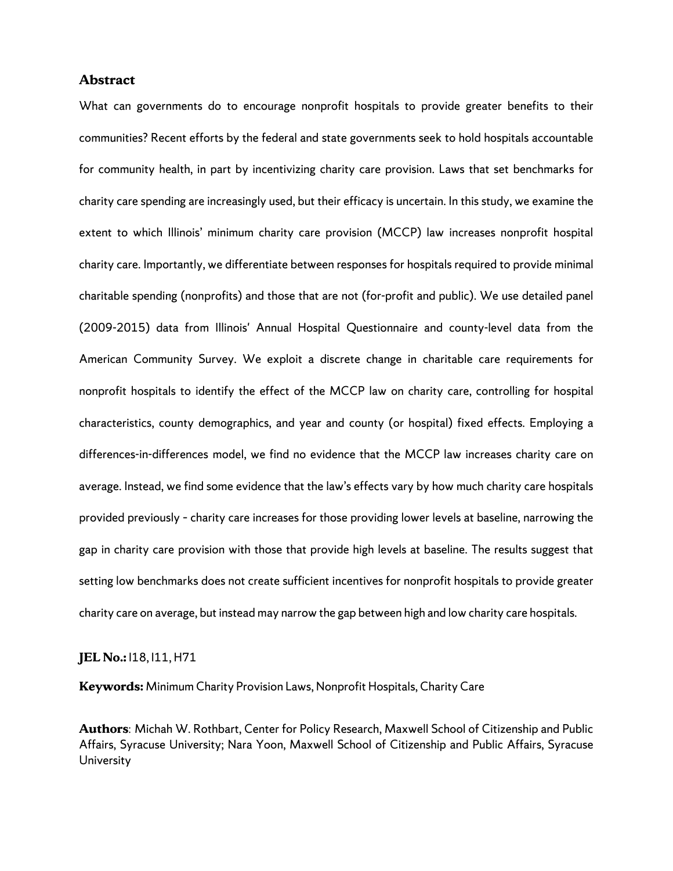#### **Abstract**

What can governments do to encourage nonprofit hospitals to provide greater benefits to their communities? Recent efforts by the federal and state governments seek to hold hospitals accountable for community health, in part by incentivizing charity care provision. Laws that set benchmarks for charity care spending are increasingly used, but their efficacy is uncertain. In this study, we examine the extent to which Illinois' minimum charity care provision (MCCP) law increases nonprofit hospital charity care. Importantly, we differentiate between responses for hospitals required to provide minimal charitable spending (nonprofits) and those that are not (for-profit and public). We use detailed panel (2009-2015) data from Illinois' Annual Hospital Questionnaire and county-level data from the American Community Survey. We exploit a discrete change in charitable care requirements for nonprofit hospitals to identify the effect of the MCCP law on charity care, controlling for hospital characteristics, county demographics, and year and county (or hospital) fixed effects. Employing a differences-in-differences model, we find no evidence that the MCCP law increases charity care on average. Instead, we find some evidence that the law's effects vary by how much charity care hospitals provided previously – charity care increases for those providing lower levels at baseline, narrowing the gap in charity care provision with those that provide high levels at baseline. The results suggest that setting low benchmarks does not create sufficient incentives for nonprofit hospitals to provide greater charity care on average, but instead may narrow the gap between high and low charity care hospitals.

#### **JEL No.:** I18, I11, H71

**Keywords:** Minimum Charity Provision Laws, Nonprofit Hospitals, Charity Care

**Authors**: Michah W. Rothbart, Center for Policy Research, Maxwell School of Citizenship and Public Affairs, Syracuse University; Nara Yoon, Maxwell School of Citizenship and Public Affairs, Syracuse University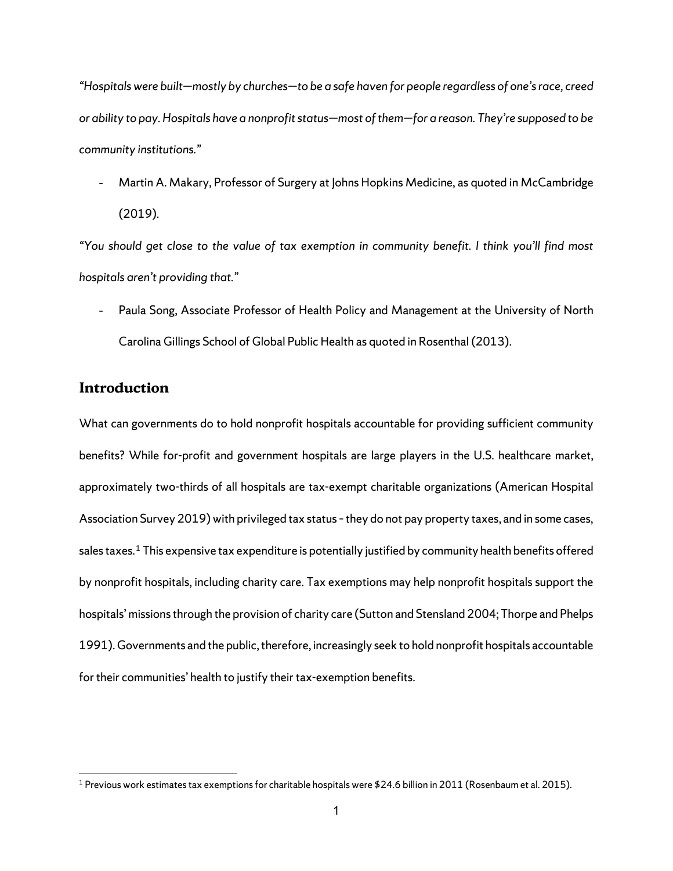*"Hospitals were built—mostly by churches—to be a safe haven for people regardless of one's race, creed or ability to pay. Hospitals have a nonprofit status—most of them—for a reason. They're supposed to be community institutions."* 

Martin A. Makary, Professor of Surgery at Johns Hopkins Medicine, as quoted in McCambridge (2019).

*"You should get close to the value of tax exemption in community benefit. I think you'll find most hospitals aren't providing that."*

Paula Song, Associate Professor of Health Policy and Management at the University of North Carolina Gillings School of Global Public Health as quoted in Rosenthal (2013).

# **Introduction**

What can governments do to hold nonprofit hospitals accountable for providing sufficient community benefits? While for-profit and government hospitals are large players in the U.S. healthcare market, approximately two-thirds of all hospitals are tax-exempt charitable organizations (American Hospital Association Survey 2019) with privileged tax status – they do not pay property taxes, and in some cases, sales taxes. $^{\rm 1}$  $^{\rm 1}$  $^{\rm 1}$  This expensive tax expenditure is potentially justified by community health benefits offered by nonprofit hospitals, including charity care. Tax exemptions may help nonprofit hospitals support the hospitals' missions through the provision of charity care (Sutton and Stensland 2004; Thorpe and Phelps 1991). Governments and the public, therefore, increasingly seek to hold nonprofit hospitals accountable for their communities' health to justify their tax-exemption benefits.

<span id="page-4-0"></span><sup>&</sup>lt;sup>1</sup> Previous work estimates tax exemptions for charitable hospitals were \$24.6 billion in 2011 (Rosenbaum et al. 2015).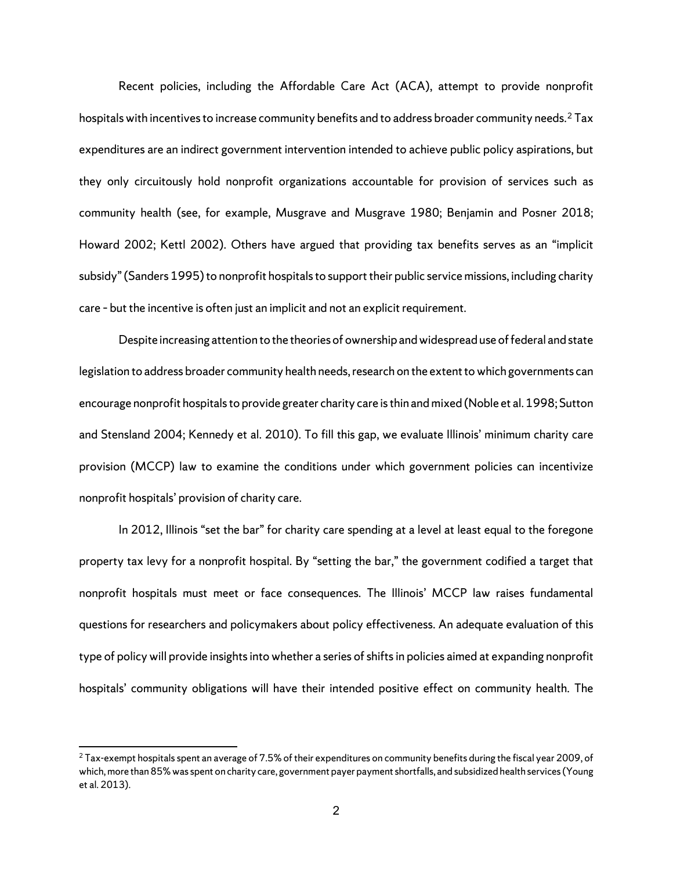Recent policies, including the Affordable Care Act (ACA), attempt to provide nonprofit hospitals with incentives to increase community benefits and to address broader community needs.<sup>[2](#page-5-0)</sup> Tax expenditures are an indirect government intervention intended to achieve public policy aspirations, but they only circuitously hold nonprofit organizations accountable for provision of services such as community health (see, for example, Musgrave and Musgrave 1980; Benjamin and Posner 2018; Howard 2002; Kettl 2002). Others have argued that providing tax benefits serves as an "implicit subsidy" (Sanders 1995) to nonprofit hospitals to support their public service missions, including charity care – but the incentive is often just an implicit and not an explicit requirement.

Despite increasing attention to the theories of ownership and widespread use of federal and state legislation to address broader community health needs, research on the extent to which governments can encourage nonprofit hospitals to provide greater charity care is thin and mixed (Noble et al. 1998; Sutton and Stensland 2004; Kennedy et al. 2010). To fill this gap, we evaluate Illinois' minimum charity care provision (MCCP) law to examine the conditions under which government policies can incentivize nonprofit hospitals' provision of charity care.

In 2012, Illinois "set the bar" for charity care spending at a level at least equal to the foregone property tax levy for a nonprofit hospital. By "setting the bar," the government codified a target that nonprofit hospitals must meet or face consequences. The Illinois' MCCP law raises fundamental questions for researchers and policymakers about policy effectiveness. An adequate evaluation of this type of policy will provide insights into whether a series of shifts in policies aimed at expanding nonprofit hospitals' community obligations will have their intended positive effect on community health. The

<span id="page-5-0"></span> $2$  Tax-exempt hospitals spent an average of 7.5% of their expenditures on community benefits during the fiscal year 2009, of which, more than 85% was spent on charity care, government payer payment shortfalls, and subsidized health services (Young et al. 2013).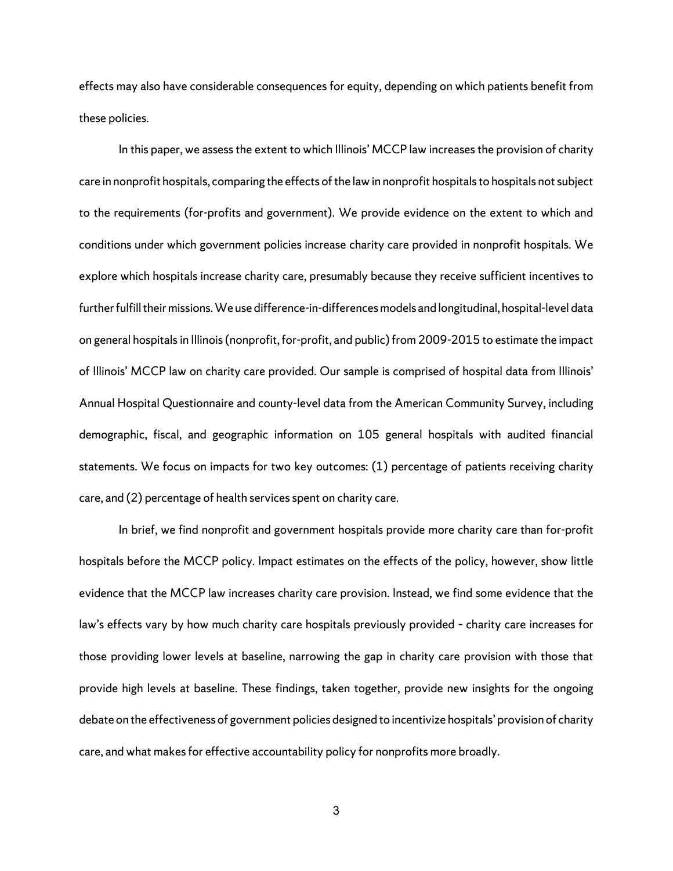effects may also have considerable consequences for equity, depending on which patients benefit from these policies.

In this paper, we assess the extent to which Illinois' MCCP law increases the provision of charity care in nonprofit hospitals, comparing the effects of the law in nonprofit hospitals to hospitals not subject to the requirements (for-profits and government). We provide evidence on the extent to which and conditions under which government policies increase charity care provided in nonprofit hospitals. We explore which hospitals increase charity care, presumably because they receive sufficient incentives to further fulfill their missions. We use difference-in-differences models and longitudinal, hospital-level data on general hospitals in Illinois (nonprofit, for-profit, and public) from 2009-2015 to estimate the impact of Illinois' MCCP law on charity care provided. Our sample is comprised of hospital data from Illinois' Annual Hospital Questionnaire and county-level data from the American Community Survey, including demographic, fiscal, and geographic information on 105 general hospitals with audited financial statements. We focus on impacts for two key outcomes: (1) percentage of patients receiving charity care, and (2) percentage of health services spent on charity care.

In brief, we find nonprofit and government hospitals provide more charity care than for-profit hospitals before the MCCP policy. Impact estimates on the effects of the policy, however, show little evidence that the MCCP law increases charity care provision. Instead, we find some evidence that the law's effects vary by how much charity care hospitals previously provided – charity care increases for those providing lower levels at baseline, narrowing the gap in charity care provision with those that provide high levels at baseline. These findings, taken together, provide new insights for the ongoing debate on the effectiveness of government policies designed to incentivize hospitals' provision of charity care, and what makes for effective accountability policy for nonprofits more broadly.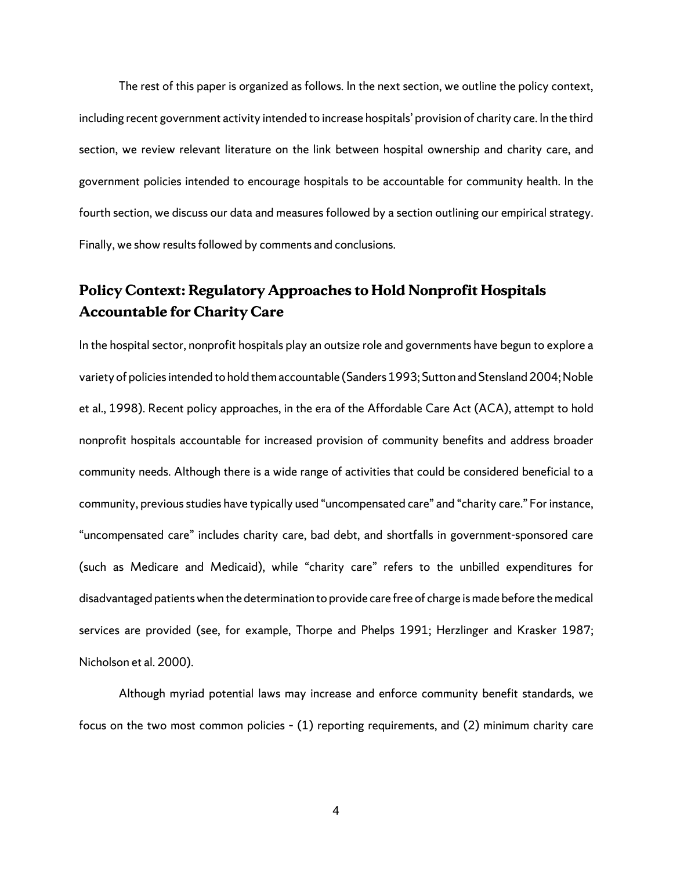The rest of this paper is organized as follows. In the next section, we outline the policy context, including recent government activity intended to increase hospitals' provision of charity care. In the third section, we review relevant literature on the link between hospital ownership and charity care, and government policies intended to encourage hospitals to be accountable for community health. In the fourth section, we discuss our data and measures followed by a section outlining our empirical strategy. Finally, we show results followed by comments and conclusions.

# **Policy Context: Regulatory Approaches to Hold Nonprofit Hospitals Accountable for Charity Care**

In the hospital sector, nonprofit hospitals play an outsize role and governments have begun to explore a variety of policies intended to hold them accountable (Sanders 1993; Sutton and Stensland 2004; Noble et al., 1998). Recent policy approaches, in the era of the Affordable Care Act (ACA), attempt to hold nonprofit hospitals accountable for increased provision of community benefits and address broader community needs. Although there is a wide range of activities that could be considered beneficial to a community, previous studies have typically used "uncompensated care" and "charity care." For instance, "uncompensated care" includes charity care, bad debt, and shortfalls in government-sponsored care (such as Medicare and Medicaid), while "charity care" refers to the unbilled expenditures for disadvantaged patients when the determination to provide care free of charge is made before the medical services are provided (see, for example, Thorpe and Phelps 1991; Herzlinger and Krasker 1987; Nicholson et al. 2000).

Although myriad potential laws may increase and enforce community benefit standards, we focus on the two most common policies – (1) reporting requirements, and (2) minimum charity care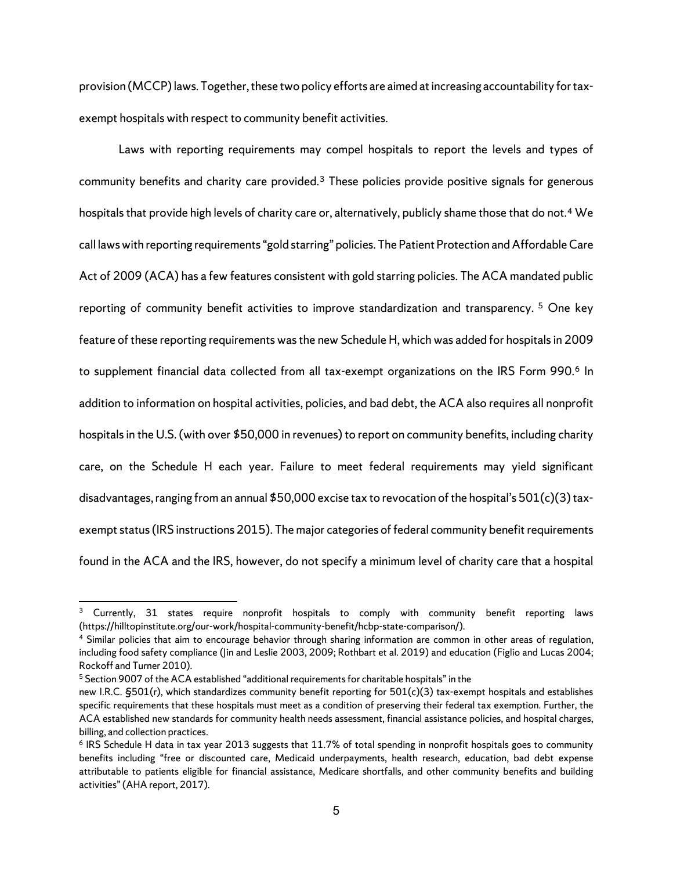provision (MCCP) laws. Together, these two policy efforts are aimed at increasing accountability fortaxexempt hospitals with respect to community benefit activities.

Laws with reporting requirements may compel hospitals to report the levels and types of community benefits and charity care provided.<sup>[3](#page-8-0)</sup> These policies provide positive signals for generous hospitals that provide high levels of charity care or, alternatively, publicly shame those that do not.<sup>[4](#page-8-1)</sup> We call laws with reporting requirements "gold starring" policies. The Patient Protection and Affordable Care Act of 2009 (ACA) has a few features consistent with gold starring policies. The ACA mandated public reporting of community benefit activities to improve standardization and transparency.<sup>[5](#page-8-2)</sup> One key feature of these reporting requirements was the new Schedule H, which was added for hospitals in 2009 to supplement financial data collected from all tax-exempt organizations on the IRS Form 990.<sup>[6](#page-8-3)</sup> In addition to information on hospital activities, policies, and bad debt, the ACA also requires all nonprofit hospitals in the U.S. (with over \$50,000 in revenues) to report on community benefits, including charity care, on the Schedule H each year. Failure to meet federal requirements may yield significant disadvantages, ranging from an annual \$50,000 excise tax to revocation of the hospital's 501(c)(3) taxexempt status (IRS instructions 2015). The major categories of federal community benefit requirements found in the ACA and the IRS, however, do not specify a minimum level of charity care that a hospital

<span id="page-8-0"></span><sup>3</sup> Currently, 31 states require nonprofit hospitals to comply with community benefit reporting laws (https://hilltopinstitute.org/our-work/hospital-community-benefit/hcbp-state-comparison/).

<span id="page-8-1"></span><sup>4</sup> Similar policies that aim to encourage behavior through sharing information are common in other areas of regulation, including food safety compliance (Jin and Leslie 2003, 2009; Rothbart et al. 2019) and education (Figlio and Lucas 2004; Rockoff and Turner 2010).

<span id="page-8-2"></span><sup>5</sup> Section 9007 of the ACA established "additional requirements for charitable hospitals" in the

new I.R.C. §501(r), which standardizes community benefit reporting for 501(c)(3) tax-exempt hospitals and establishes specific requirements that these hospitals must meet as a condition of preserving their federal tax exemption. Further, the ACA established new standards for community health needs assessment, financial assistance policies, and hospital charges, billing, and collection practices.

<span id="page-8-3"></span><sup>6</sup> IRS Schedule H data in tax year 2013 suggests that 11.7% of total spending in nonprofit hospitals goes to community benefits including "free or discounted care, Medicaid underpayments, health research, education, bad debt expense attributable to patients eligible for financial assistance, Medicare shortfalls, and other community benefits and building activities" (AHA report, 2017).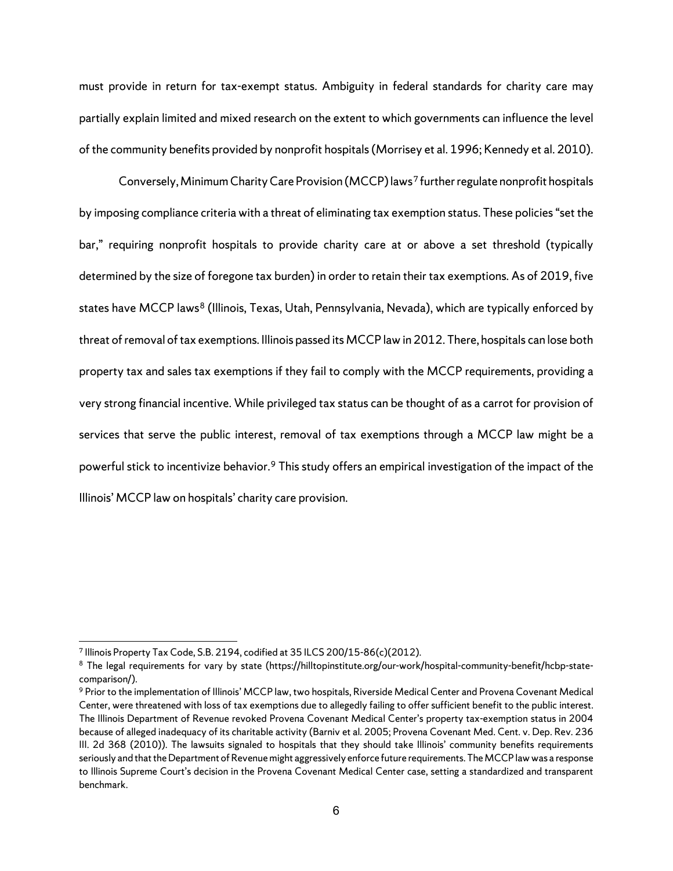must provide in return for tax-exempt status. Ambiguity in federal standards for charity care may partially explain limited and mixed research on the extent to which governments can influence the level of the community benefits provided by nonprofit hospitals (Morrisey et al. 1996; Kennedy et al. 2010).

Conversely, Minimum Charity Care Provision (MCCP)laws[7](#page-9-0) further regulate nonprofit hospitals by imposing compliance criteria with a threat of eliminating tax exemption status. These policies "set the bar," requiring nonprofit hospitals to provide charity care at or above a set threshold (typically determined by the size of foregone tax burden) in order to retain their tax exemptions. As of 2019, five states have MCCP laws<sup>[8](#page-9-1)</sup> (Illinois, Texas, Utah, Pennsylvania, Nevada), which are typically enforced by threat of removal of tax exemptions. Illinois passed its MCCP law in 2012. There, hospitals can lose both property tax and sales tax exemptions if they fail to comply with the MCCP requirements, providing a very strong financial incentive. While privileged tax status can be thought of as a carrot for provision of services that serve the public interest, removal of tax exemptions through a MCCP law might be a powerful stick to incentivize behavior.<sup>[9](#page-9-2)</sup> This study offers an empirical investigation of the impact of the Illinois' MCCP law on hospitals' charity care provision.

<span id="page-9-0"></span><sup>7</sup> Illinois Property Tax Code, S.B. 2194, codified at 35 ILCS 200/15-86(c)(2012).

<span id="page-9-1"></span><sup>&</sup>lt;sup>8</sup> The legal requirements for vary by state (https://hilltopinstitute.org/our-work/hospital-community-benefit/hcbp-statecomparison/).

<span id="page-9-2"></span><sup>9</sup> Prior to the implementation of Illinois' MCCP law, two hospitals, Riverside Medical Center and Provena Covenant Medical Center, were threatened with loss of tax exemptions due to allegedly failing to offer sufficient benefit to the public interest. The Illinois Department of Revenue revoked Provena Covenant Medical Center's property tax-exemption status in 2004 because of alleged inadequacy of its charitable activity (Barniv et al. 2005; Provena Covenant Med. Cent. v. Dep. Rev. 236 III. 2d 368 (2010)). The lawsuits signaled to hospitals that they should take Illinois' community benefits requirements seriously and that the Department of Revenue might aggressively enforce future requirements. The MCCP law was a response to Illinois Supreme Court's decision in the Provena Covenant Medical Center case, setting a standardized and transparent benchmark.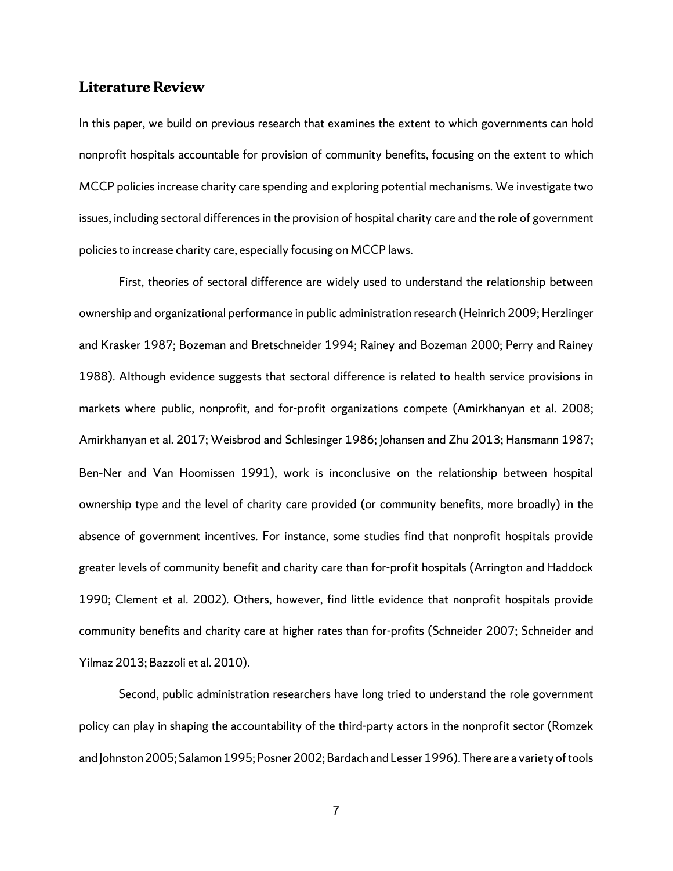### **Literature Review**

In this paper, we build on previous research that examines the extent to which governments can hold nonprofit hospitals accountable for provision of community benefits, focusing on the extent to which MCCP policies increase charity care spending and exploring potential mechanisms. We investigate two issues, including sectoral differences in the provision of hospital charity care and the role of government policies to increase charity care, especially focusing on MCCP laws.

First, theories of sectoral difference are widely used to understand the relationship between ownership and organizational performance in public administration research (Heinrich 2009; Herzlinger and Krasker 1987; Bozeman and Bretschneider 1994; Rainey and Bozeman 2000; Perry and Rainey 1988). Although evidence suggests that sectoral difference is related to health service provisions in markets where public, nonprofit, and for-profit organizations compete (Amirkhanyan et al. 2008; Amirkhanyan et al. 2017; Weisbrod and Schlesinger 1986; Johansen and Zhu 2013; Hansmann 1987; Ben‐Ner and Van Hoomissen 1991), work is inconclusive on the relationship between hospital ownership type and the level of charity care provided (or community benefits, more broadly) in the absence of government incentives. For instance, some studies find that nonprofit hospitals provide greater levels of community benefit and charity care than for-profit hospitals (Arrington and Haddock 1990; Clement et al. 2002). Others, however, find little evidence that nonprofit hospitals provide community benefits and charity care at higher rates than for-profits (Schneider 2007; Schneider and Yilmaz 2013; Bazzoli et al. 2010).

Second, public administration researchers have long tried to understand the role government policy can play in shaping the accountability of the third-party actors in the nonprofit sector (Romzek and Johnston 2005; Salamon 1995; Posner 2002; Bardach and Lesser 1996). There are a variety of tools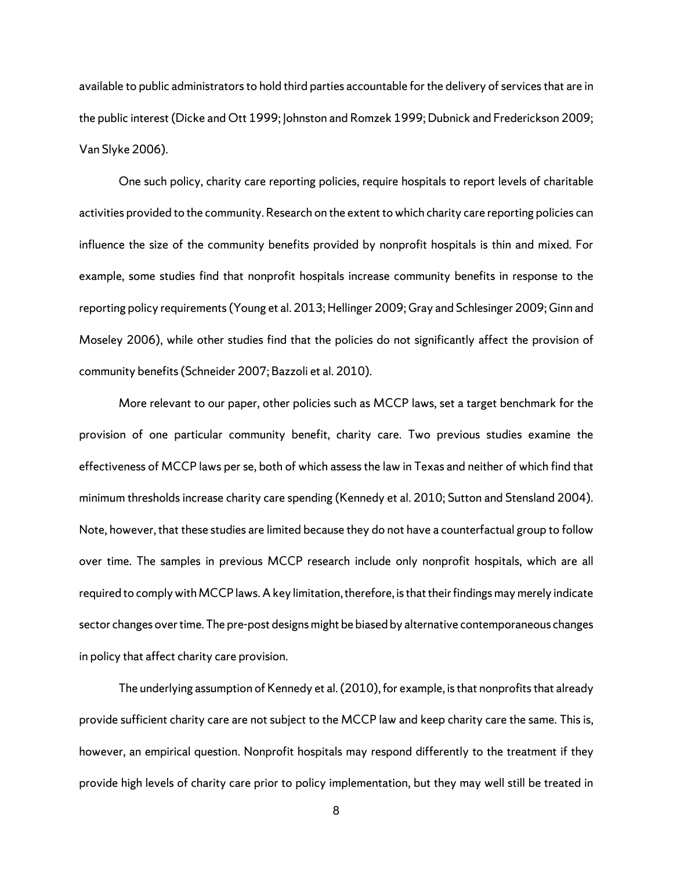available to public administrators to hold third parties accountable for the delivery of services that are in the public interest (Dicke and Ott 1999; Johnston and Romzek 1999; Dubnick and Frederickson 2009; Van Slyke 2006).

One such policy, charity care reporting policies, require hospitals to report levels of charitable activities provided to the community. Research on the extent to which charity care reporting policies can influence the size of the community benefits provided by nonprofit hospitals is thin and mixed. For example, some studies find that nonprofit hospitals increase community benefits in response to the reporting policy requirements (Young et al. 2013; Hellinger 2009; Gray and Schlesinger 2009; Ginn and Moseley 2006), while other studies find that the policies do not significantly affect the provision of community benefits (Schneider 2007; Bazzoli et al. 2010).

More relevant to our paper, other policies such as MCCP laws, set a target benchmark for the provision of one particular community benefit, charity care. Two previous studies examine the effectiveness of MCCP laws per se, both of which assess the law in Texas and neither of which find that minimum thresholds increase charity care spending (Kennedy et al. 2010; Sutton and Stensland 2004). Note, however, that these studies are limited because they do not have a counterfactual group to follow over time. The samples in previous MCCP research include only nonprofit hospitals, which are all required to comply with MCCP laws. A key limitation, therefore, is that their findings may merely indicate sector changes over time. The pre-post designs might be biased by alternative contemporaneous changes in policy that affect charity care provision.

The underlying assumption of Kennedy et al. (2010), for example, is that nonprofits that already provide sufficient charity care are not subject to the MCCP law and keep charity care the same. This is, however, an empirical question. Nonprofit hospitals may respond differently to the treatment if they provide high levels of charity care prior to policy implementation, but they may well still be treated in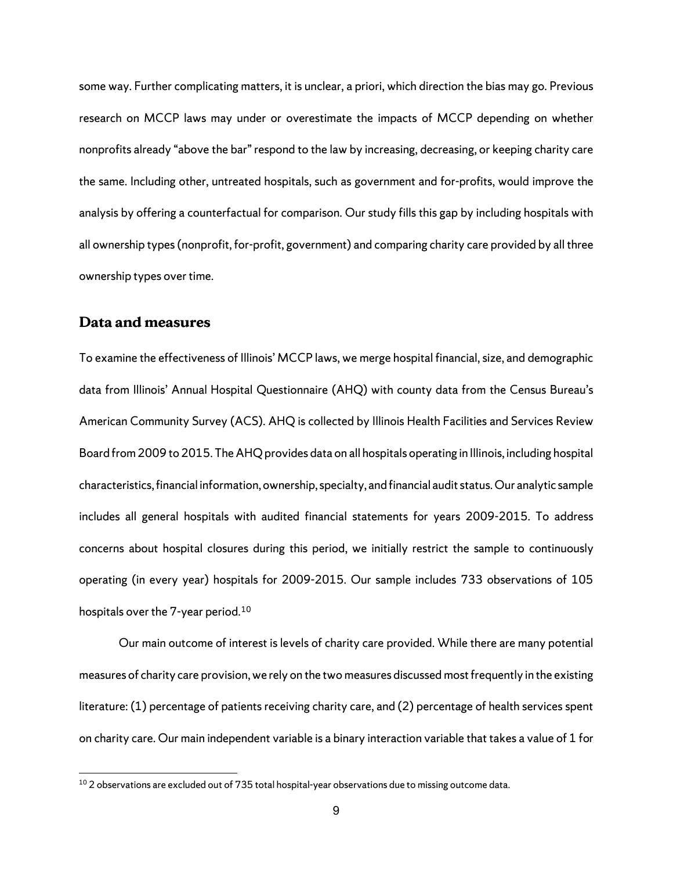some way. Further complicating matters, it is unclear, a priori, which direction the bias may go. Previous research on MCCP laws may under or overestimate the impacts of MCCP depending on whether nonprofits already "above the bar" respond to the law by increasing, decreasing, or keeping charity care the same. Including other, untreated hospitals, such as government and for-profits, would improve the analysis by offering a counterfactual for comparison. Our study fills this gap by including hospitals with all ownership types (nonprofit, for-profit, government) and comparing charity care provided by all three ownership types over time.

# **Data and measures**

 $\overline{a}$ 

To examine the effectiveness of Illinois' MCCP laws, we merge hospital financial, size, and demographic data from Illinois' Annual Hospital Questionnaire (AHQ) with county data from the Census Bureau's American Community Survey (ACS). AHQ is collected by Illinois Health Facilities and Services Review Board from 2009 to 2015. The AHQ provides data on all hospitals operating in Illinois, including hospital characteristics, financial information, ownership, specialty, and financial audit status.Our analytic sample includes all general hospitals with audited financial statements for years 2009-2015. To address concerns about hospital closures during this period, we initially restrict the sample to continuously operating (in every year) hospitals for 2009-2015. Our sample includes 733 observations of 105 hospitals over the 7-year period. [10](#page-12-0)

Our main outcome of interest is levels of charity care provided. While there are many potential measures of charity care provision, we rely on the two measures discussed most frequently in the existing literature: (1) percentage of patients receiving charity care, and (2) percentage of health services spent on charity care. Our main independent variable is a binary interaction variable that takes a value of 1 for

<span id="page-12-0"></span> $^{\rm 10}$  2 observations are excluded out of 735 total hospital-year observations due to missing outcome data.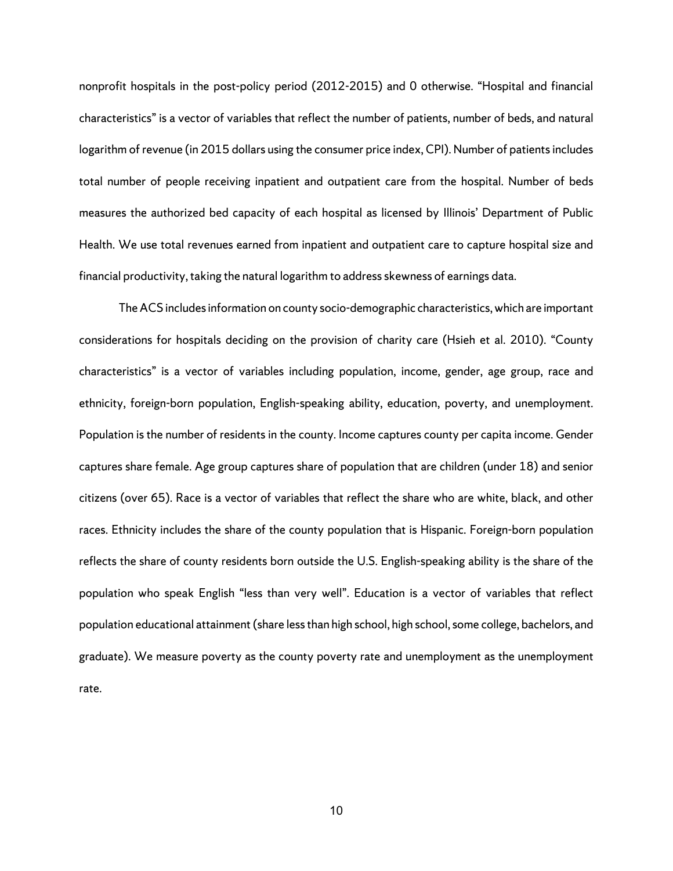nonprofit hospitals in the post-policy period (2012-2015) and 0 otherwise. "Hospital and financial characteristics" is a vector of variables that reflect the number of patients, number of beds, and natural logarithm of revenue (in 2015 dollars using the consumer price index, CPI). Number of patients includes total number of people receiving inpatient and outpatient care from the hospital. Number of beds measures the authorized bed capacity of each hospital as licensed by Illinois' Department of Public Health. We use total revenues earned from inpatient and outpatient care to capture hospital size and financial productivity, taking the natural logarithm to address skewness of earnings data.

The ACS includes information on county socio-demographic characteristics, which are important considerations for hospitals deciding on the provision of charity care (Hsieh et al. 2010). "County characteristics" is a vector of variables including population, income, gender, age group, race and ethnicity, foreign-born population, English-speaking ability, education, poverty, and unemployment. Population is the number of residents in the county. Income captures county per capita income. Gender captures share female. Age group captures share of population that are children (under 18) and senior citizens (over 65). Race is a vector of variables that reflect the share who are white, black, and other races. Ethnicity includes the share of the county population that is Hispanic. Foreign-born population reflects the share of county residents born outside the U.S. English-speaking ability is the share of the population who speak English "less than very well". Education is a vector of variables that reflect population educational attainment (share less than high school, high school, some college, bachelors, and graduate). We measure poverty as the county poverty rate and unemployment as the unemployment rate.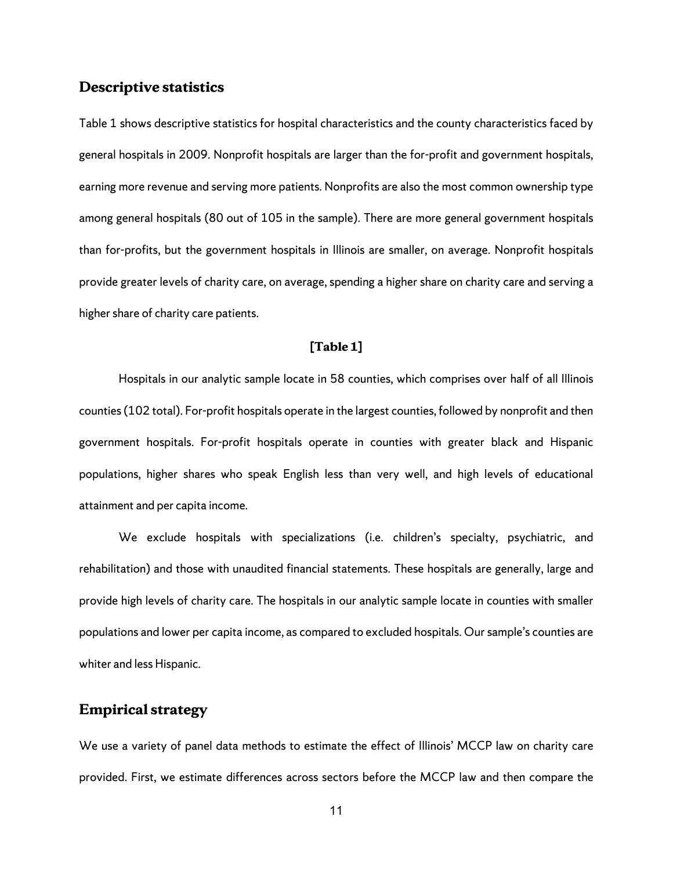### **Descriptive statistics**

Table 1 shows descriptive statistics for hospital characteristics and the county characteristics faced by general hospitals in 2009. Nonprofit hospitals are larger than the for-profit and government hospitals, earning more revenue and serving more patients. Nonprofits are also the most common ownership type among general hospitals (80 out of 105 in the sample). There are more general government hospitals than for-profits, but the government hospitals in Illinois are smaller, on average. Nonprofit hospitals provide greater levels of charity care, on average, spending a higher share on charity care and serving a higher share of charity care patients.

#### **[Table 1]**

Hospitals in our analytic sample locate in 58 counties, which comprises over half of all Illinois counties (102 total). For-profit hospitals operate in the largest counties, followed by nonprofit and then government hospitals. For-profit hospitals operate in counties with greater black and Hispanic populations, higher shares who speak English less than very well, and high levels of educational attainment and per capita income.

We exclude hospitals with specializations (i.e. children's specialty, psychiatric, and rehabilitation) and those with unaudited financial statements. These hospitals are generally, large and provide high levels of charity care. The hospitals in our analytic sample locate in counties with smaller populations and lower per capita income, as compared to excluded hospitals. Our sample's counties are whiter and less Hispanic.

# **Empirical strategy**

We use a variety of panel data methods to estimate the effect of Illinois' MCCP law on charity care provided. First, we estimate differences across sectors before the MCCP law and then compare the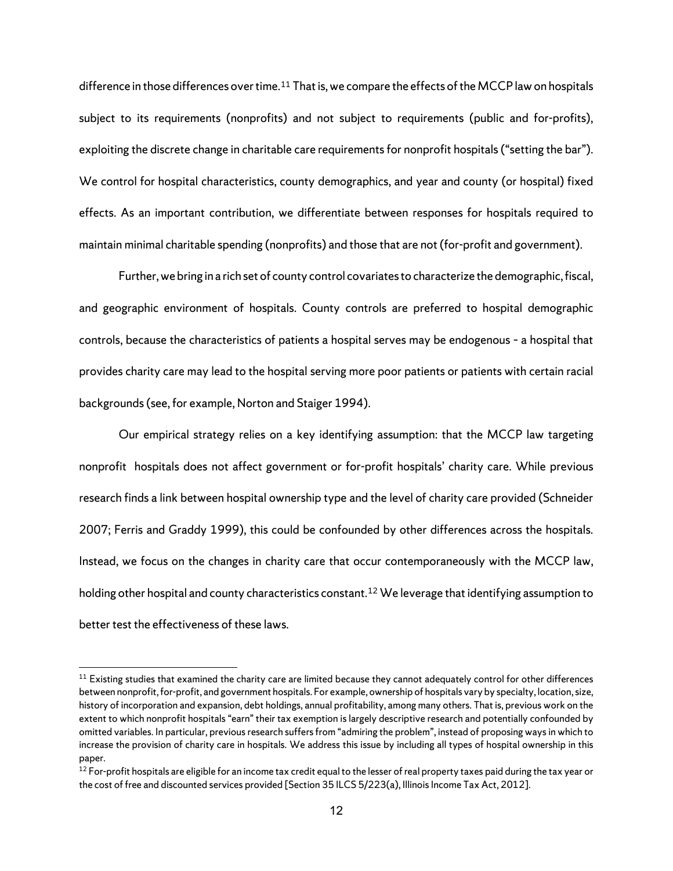difference in those differences over time. [11](#page-15-0) That is, we compare the effects of the MCCP law on hospitals subject to its requirements (nonprofits) and not subject to requirements (public and for-profits), exploiting the discrete change in charitable care requirements for nonprofit hospitals ("setting the bar"). We control for hospital characteristics, county demographics, and year and county (or hospital) fixed effects. As an important contribution, we differentiate between responses for hospitals required to maintain minimal charitable spending (nonprofits) and those that are not (for-profit and government).

Further, we bring in a rich set of county control covariates to characterize the demographic, fiscal, and geographic environment of hospitals. County controls are preferred to hospital demographic controls, because the characteristics of patients a hospital serves may be endogenous – a hospital that provides charity care may lead to the hospital serving more poor patients or patients with certain racial backgrounds(see, for example, Norton and Staiger 1994).

Our empirical strategy relies on a key identifying assumption: that the MCCP law targeting nonprofit hospitals does not affect government or for-profit hospitals' charity care. While previous research finds a link between hospital ownership type and the level of charity care provided (Schneider 2007; Ferris and Graddy 1999), this could be confounded by other differences across the hospitals. Instead, we focus on the changes in charity care that occur contemporaneously with the MCCP law, holding other hospital and county characteristics constant.<sup>[12](#page-15-1)</sup> We leverage that identifying assumption to better test the effectiveness of these laws.

<span id="page-15-0"></span> $11$  Existing studies that examined the charity care are limited because they cannot adequately control for other differences between nonprofit, for-profit, and government hospitals. For example, ownership of hospitals vary by specialty, location, size, history of incorporation and expansion, debt holdings, annual profitability, among many others. That is, previous work on the extent to which nonprofit hospitals "earn" their tax exemption is largely descriptive research and potentially confounded by omitted variables. In particular, previous research suffers from "admiring the problem", instead of proposing ways in which to increase the provision of charity care in hospitals. We address this issue by including all types of hospital ownership in this paper.

<span id="page-15-1"></span><sup>&</sup>lt;sup>12</sup> For-profit hospitals are eligible for an income tax credit equal to the lesser of real property taxes paid during the tax year or the cost of free and discounted services provided [Section 35 ILCS 5/223(a), Illinois Income Tax Act, 2012].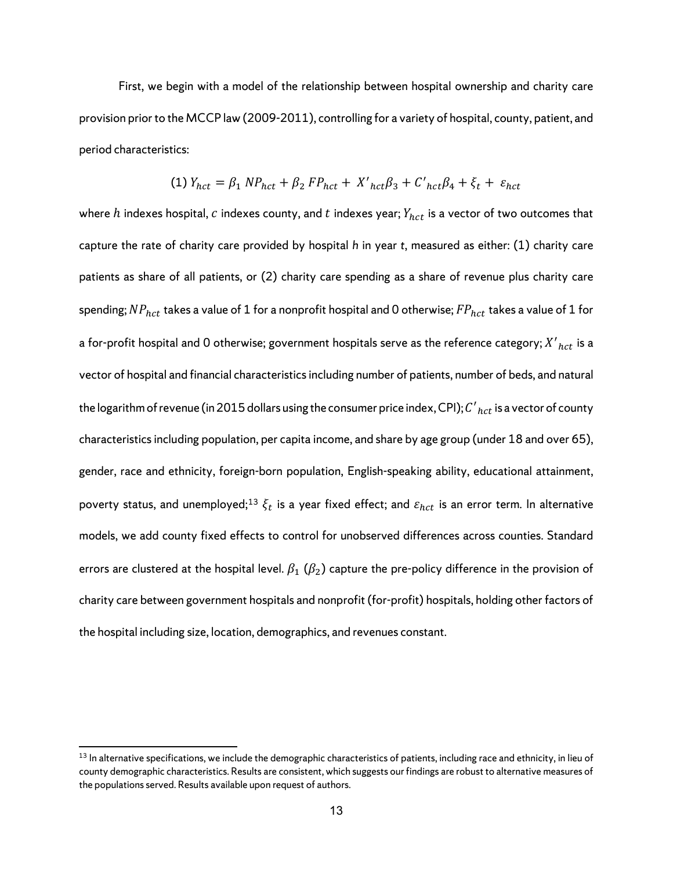First, we begin with a model of the relationship between hospital ownership and charity care provision prior to the MCCP law (2009-2011), controlling for a variety of hospital, county, patient, and period characteristics:

(1) 
$$
Y_{\text{hct}} = \beta_1 \, NP_{\text{hct}} + \beta_2 \, FP_{\text{hct}} + X'_{\text{hct}} \beta_3 + C'_{\text{hct}} \beta_4 + \xi_t + \varepsilon_{\text{hct}}
$$

where  $h$  indexes hospital,  $c$  indexes county, and  $t$  indexes year;  $Y_{hct}$  is a vector of two outcomes that capture the rate of charity care provided by hospital *h* in year *t*, measured as either: (1) charity care patients as share of all patients, or (2) charity care spending as a share of revenue plus charity care spending;  $NP_{hct}$  takes a value of 1 for a nonprofit hospital and 0 otherwise;  $FP_{hct}$  takes a value of 1 for a for-profit hospital and 0 otherwise; government hospitals serve as the reference category;  ${X^{\prime}}_{hct}$  is a vector of hospital and financial characteristics including number of patients, number of beds, and natural the logarithm of revenue (in 2015 dollars using the consumer price index, CPI);  $C^\prime{}_{hct}$  is a vector of county characteristics including population, per capita income, and share by age group (under 18 and over 65), gender, race and ethnicity, foreign-born population, English-speaking ability, educational attainment, poverty status, and unemployed;<sup>[13](#page-16-0)</sup>  $\xi_t$  is a year fixed effect; and  $\varepsilon_{hct}$  is an error term. In alternative models, we add county fixed effects to control for unobserved differences across counties. Standard errors are clustered at the hospital level.  $\beta_1$  ( $\beta_2$ ) capture the pre-policy difference in the provision of charity care between government hospitals and nonprofit (for-profit) hospitals, holding other factors of the hospital including size, location, demographics, and revenues constant.

<span id="page-16-0"></span> $13$  In alternative specifications, we include the demographic characteristics of patients, including race and ethnicity, in lieu of county demographic characteristics. Results are consistent, which suggests our findings are robust to alternative measures of the populations served. Results available upon request of authors.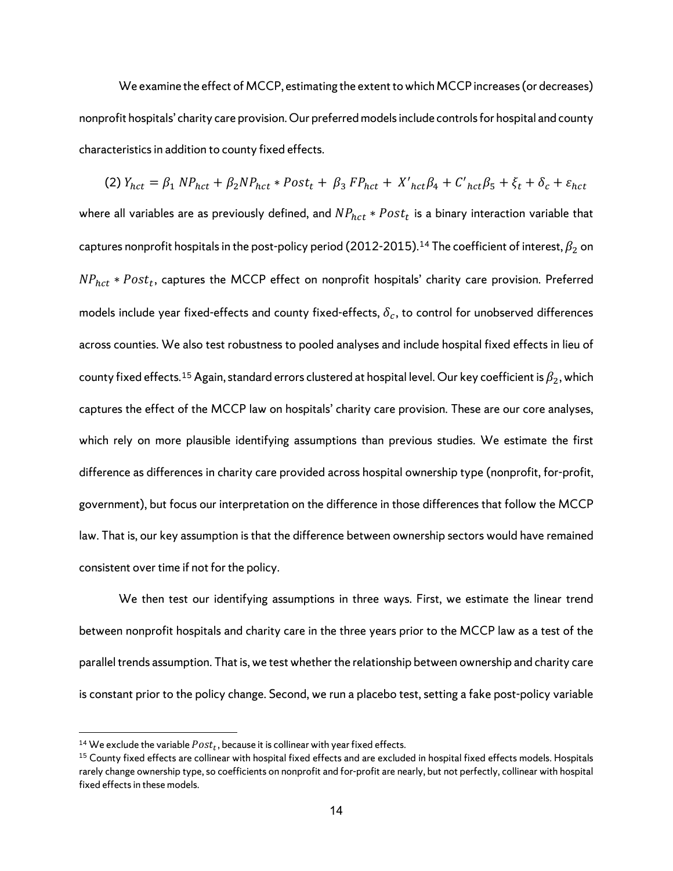We examine the effect of MCCP, estimating the extent to which MCCP increases (or decreases) nonprofit hospitals' charity care provision. Our preferred models include controls for hospital and county characteristics in addition to county fixed effects.

(2)  $Y_{hct} = \beta_1 NP_{hct} + \beta_2 NP_{hct} * Post_t + \beta_3 FP_{hct} + X'_{hct}\beta_4 + C'_{hct}\beta_5 + \xi_t + \delta_c + \varepsilon_{hct}$ where all variables are as previously defined, and  $NP_{hct} * Post_t$  is a binary interaction variable that captures nonprofit hospitals in the post-policy period (2012-2015).<sup>[14](#page-17-0)</sup> The coefficient of interest,  $\beta_2$  on  $NP_{hct} * Post_t$ , captures the MCCP effect on nonprofit hospitals' charity care provision. Preferred models include year fixed-effects and county fixed-effects,  $\delta_c$ , to control for unobserved differences across counties. We also test robustness to pooled analyses and include hospital fixed effects in lieu of county fixed effects.<sup>[15](#page-17-1)</sup> Again, standard errors clustered at hospital level. Our key coefficient is  $\beta_2$ , which captures the effect of the MCCP law on hospitals' charity care provision. These are our core analyses, which rely on more plausible identifying assumptions than previous studies. We estimate the first difference as differences in charity care provided across hospital ownership type (nonprofit, for-profit, government), but focus our interpretation on the difference in those differences that follow the MCCP law. That is, our key assumption is that the difference between ownership sectors would have remained consistent over time if not for the policy.

We then test our identifying assumptions in three ways. First, we estimate the linear trend between nonprofit hospitals and charity care in the three years prior to the MCCP law as a test of the parallel trends assumption. That is, we test whether the relationship between ownership and charity care is constant prior to the policy change. Second, we run a placebo test, setting a fake post-policy variable

<span id="page-17-1"></span><span id="page-17-0"></span><sup>&</sup>lt;sup>14</sup> We exclude the variable  $Post_t$ , because it is collinear with year fixed effects.<br><sup>15</sup> County fixed effects are collinear with hospital fixed effects and are excluded in hospital fixed effects models. Hospitals rarely change ownership type, so coefficients on nonprofit and for-profit are nearly, but not perfectly, collinear with hospital fixed effects in these models.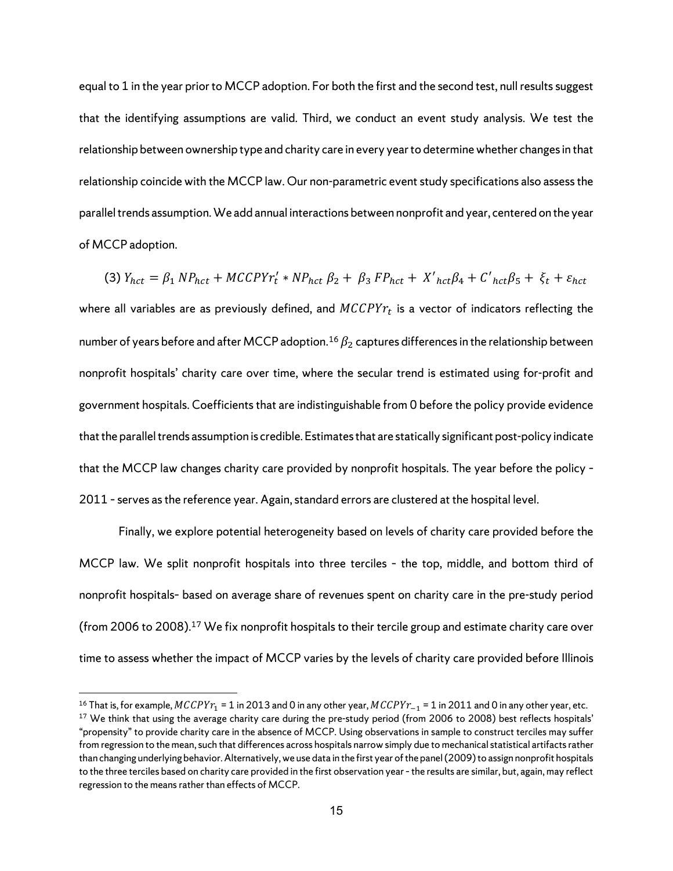equal to 1 in the year prior to MCCP adoption. For both the first and the second test, null results suggest that the identifying assumptions are valid. Third, we conduct an event study analysis. We test the relationship between ownership type and charity care in every year to determine whether changes in that relationship coincide with the MCCP law. Our non-parametric event study specifications also assess the parallel trends assumption. We add annual interactions between nonprofit and year, centered on the year of MCCP adoption.

(3)  $Y_{hct} = \beta_1 NP_{hct} + MCCPYr'_t * NP_{hct} \beta_2 + \beta_3 FP_{hct} + X'_{hct}\beta_4 + C'_{hct}\beta_5 + \xi_t + \varepsilon_{hct}$ where all variables are as previously defined, and  $MCCPYr_t$  is a vector of indicators reflecting the number of years before and after MCCP adoption.<sup>[16](#page-18-0)</sup>  $\beta_2$  captures differences in the relationship between nonprofit hospitals' charity care over time, where the secular trend is estimated using for-profit and government hospitals. Coefficients that are indistinguishable from 0 before the policy provide evidence that the parallel trends assumption is credible. Estimates that are statically significant post-policy indicate that the MCCP law changes charity care provided by nonprofit hospitals. The year before the policy – 2011 - serves as the reference year. Again, standard errors are clustered at the hospital level.

Finally, we explore potential heterogeneity based on levels of charity care provided before the MCCP law. We split nonprofit hospitals into three terciles – the top, middle, and bottom third of nonprofit hospitals– based on average share of revenues spent on charity care in the pre-study period (from 2006 to 2008). [17](#page-18-1) We fix nonprofit hospitals to their tercile group and estimate charity care over time to assess whether the impact of MCCP varies by the levels of charity care provided before Illinois

<span id="page-18-1"></span><span id="page-18-0"></span><sup>&</sup>lt;sup>16</sup> That is, for example,  $MCCPYr_1 = 1$  in 2013 and 0 in any other year,  $MCCPYr_{-1} = 1$  in 2011 and 0 in any other year, etc.<br><sup>17</sup> We think that using the average charity care during the pre-study period (from 2006 to 2008) "propensity" to provide charity care in the absence of MCCP. Using observations in sample to construct terciles may suffer from regression to the mean, such that differences across hospitals narrow simply due to mechanical statistical artifacts rather than changing underlying behavior. Alternatively, we use data in the first year of the panel (2009) to assign nonprofit hospitals to the three terciles based on charity care provided in the first observation year - the results are similar, but, again, may reflect regression to the means rather than effects of MCCP.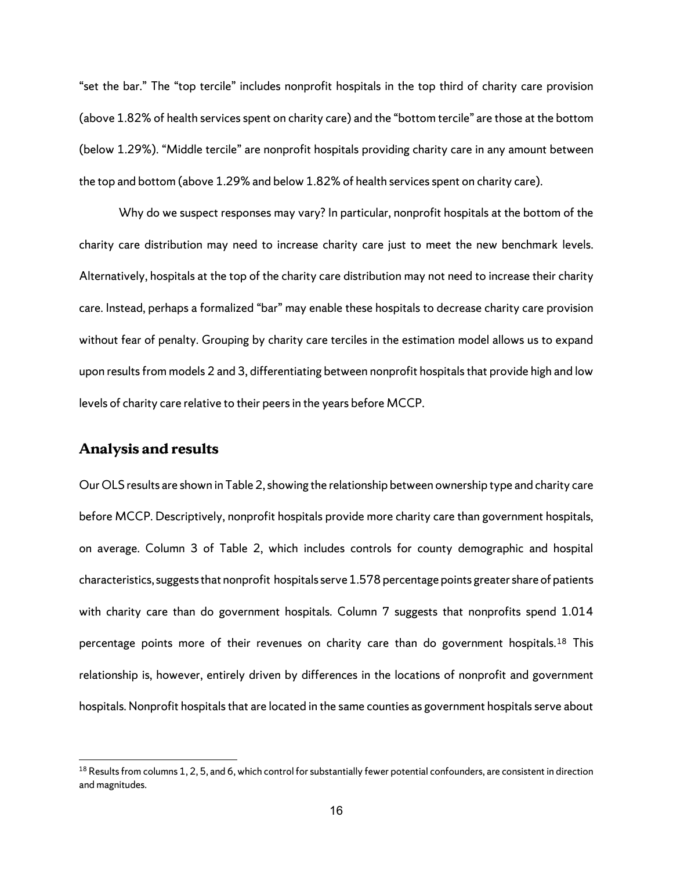"set the bar." The "top tercile" includes nonprofit hospitals in the top third of charity care provision (above 1.82% of health services spent on charity care) and the "bottom tercile" are those at the bottom (below 1.29%). "Middle tercile" are nonprofit hospitals providing charity care in any amount between the top and bottom (above 1.29% and below 1.82% of health services spent on charity care).

Why do we suspect responses may vary? In particular, nonprofit hospitals at the bottom of the charity care distribution may need to increase charity care just to meet the new benchmark levels. Alternatively, hospitals at the top of the charity care distribution may not need to increase their charity care. Instead, perhaps a formalized "bar" may enable these hospitals to decrease charity care provision without fear of penalty. Grouping by charity care terciles in the estimation model allows us to expand upon results from models 2 and 3, differentiating between nonprofit hospitals that provide high and low levels of charity care relative to their peers in the years before MCCP.

### **Analysis and results**

 $\overline{a}$ 

Our OLS results are shown in Table 2, showing the relationship between ownership type and charity care before MCCP. Descriptively, nonprofit hospitals provide more charity care than government hospitals, on average. Column 3 of Table 2, which includes controls for county demographic and hospital characteristics, suggests that nonprofit hospitals serve 1.578 percentage points greater share of patients with charity care than do government hospitals. Column 7 suggests that nonprofits spend 1.014 percentage points more of their revenues on charity care than do government hospitals.<sup>[18](#page-19-0)</sup> This relationship is, however, entirely driven by differences in the locations of nonprofit and government hospitals. Nonprofit hospitals that are located in the same counties as government hospitals serve about

<span id="page-19-0"></span> $18$  Results from columns 1, 2, 5, and 6, which control for substantially fewer potential confounders, are consistent in direction and magnitudes.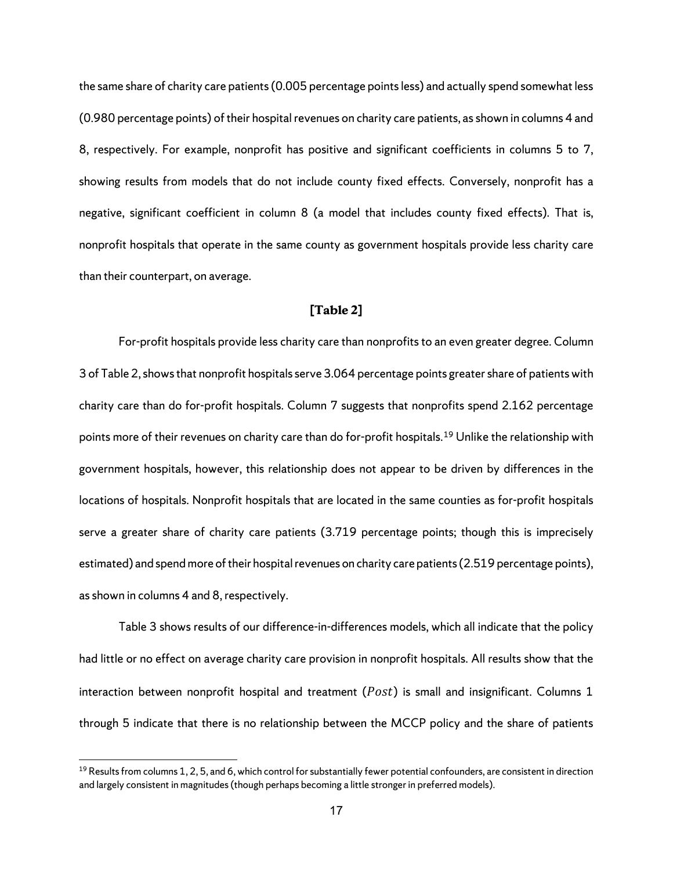the same share of charity care patients(0.005 percentage points less) and actually spend somewhat less (0.980 percentage points) of their hospital revenues on charity care patients, as shown in columns 4 and 8, respectively. For example, nonprofit has positive and significant coefficients in columns 5 to 7, showing results from models that do not include county fixed effects. Conversely, nonprofit has a negative, significant coefficient in column 8 (a model that includes county fixed effects). That is, nonprofit hospitals that operate in the same county as government hospitals provide less charity care than their counterpart, on average.

#### **[Table 2]**

For-profit hospitals provide less charity care than nonprofits to an even greater degree. Column 3 of Table 2, shows that nonprofit hospitals serve 3.064 percentage points greater share of patients with charity care than do for-profit hospitals. Column 7 suggests that nonprofits spend 2.162 percentage points more of their revenues on charity care than do for-profit hospitals.[19](#page-20-0) Unlike the relationship with government hospitals, however, this relationship does not appear to be driven by differences in the locations of hospitals. Nonprofit hospitals that are located in the same counties as for-profit hospitals serve a greater share of charity care patients (3.719 percentage points; though this is imprecisely estimated) and spend more of their hospital revenues on charity care patients(2.519 percentage points), as shown in columns 4 and 8, respectively.

Table 3 shows results of our difference-in-differences models, which all indicate that the policy had little or no effect on average charity care provision in nonprofit hospitals. All results show that the interaction between nonprofit hospital and treatment ( $Post$ ) is small and insignificant. Columns 1 through 5 indicate that there is no relationship between the MCCP policy and the share of patients

<span id="page-20-0"></span> $19$  Results from columns 1, 2, 5, and 6, which control for substantially fewer potential confounders, are consistent in direction and largely consistent in magnitudes (though perhaps becoming a little stronger in preferred models).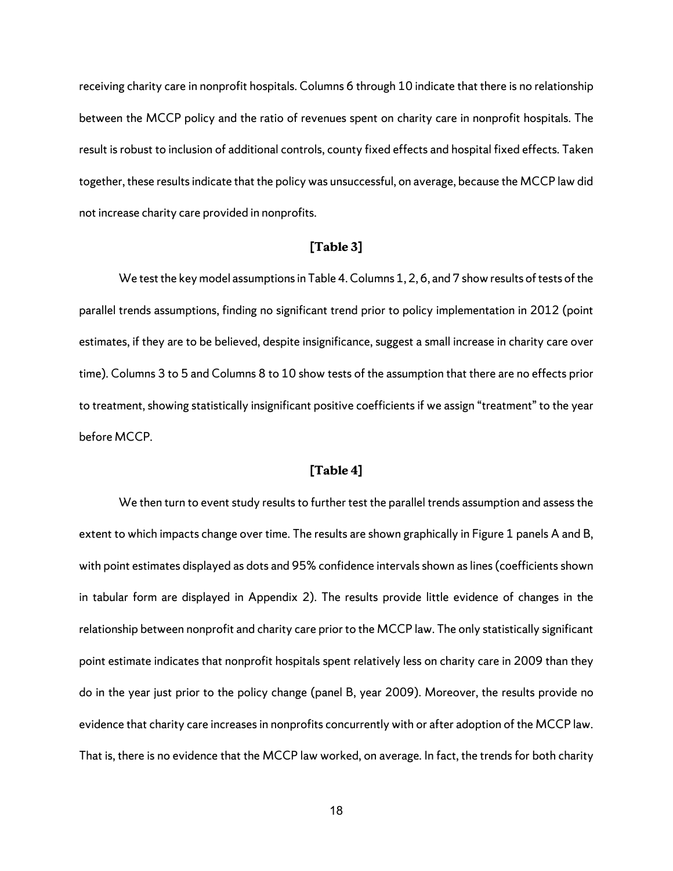receiving charity care in nonprofit hospitals. Columns 6 through 10 indicate that there is no relationship between the MCCP policy and the ratio of revenues spent on charity care in nonprofit hospitals. The result is robust to inclusion of additional controls, county fixed effects and hospital fixed effects. Taken together, these results indicate that the policy was unsuccessful, on average, because the MCCP law did not increase charity care provided in nonprofits.

#### **[Table 3]**

We test the key model assumptions in Table 4. Columns 1, 2, 6, and 7 show results of tests of the parallel trends assumptions, finding no significant trend prior to policy implementation in 2012 (point estimates, if they are to be believed, despite insignificance, suggest a small increase in charity care over time). Columns 3 to 5 and Columns 8 to 10 show tests of the assumption that there are no effects prior to treatment, showing statistically insignificant positive coefficients if we assign "treatment" to the year before MCCP.

#### **[Table 4]**

We then turn to event study results to further test the parallel trends assumption and assess the extent to which impacts change over time. The results are shown graphically in Figure 1 panels A and B, with point estimates displayed as dots and 95% confidence intervals shown as lines (coefficients shown in tabular form are displayed in Appendix 2). The results provide little evidence of changes in the relationship between nonprofit and charity care prior to the MCCP law. The only statistically significant point estimate indicates that nonprofit hospitals spent relatively less on charity care in 2009 than they do in the year just prior to the policy change (panel B, year 2009). Moreover, the results provide no evidence that charity care increases in nonprofits concurrently with or after adoption of the MCCP law. That is, there is no evidence that the MCCP law worked, on average. In fact, the trends for both charity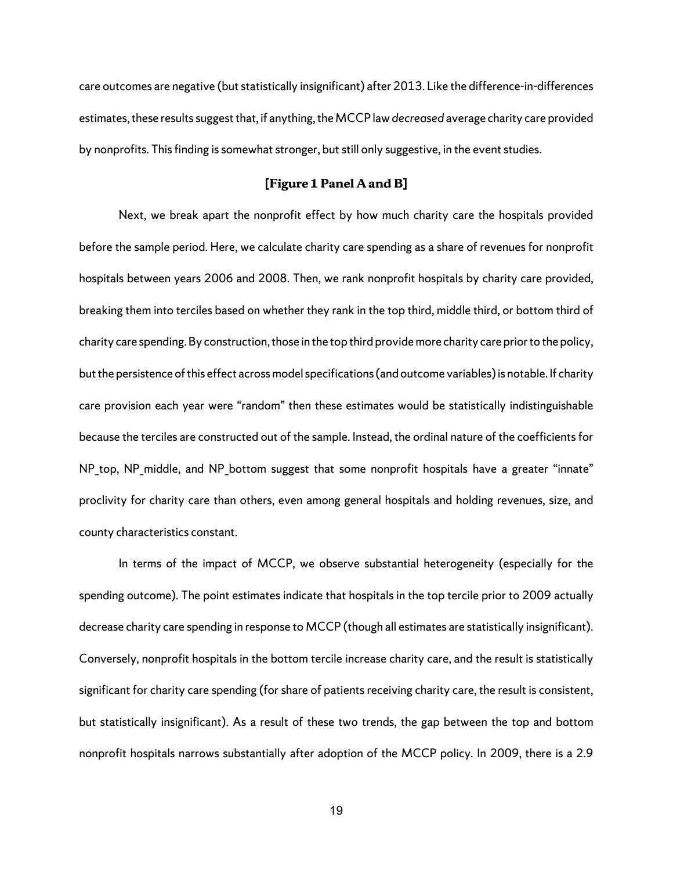care outcomes are negative (but statistically insignificant) after 2013. Like the difference-in-differences estimates, these results suggest that, if anything, the MCCP law *decreased* average charity care provided by nonprofits. This finding is somewhat stronger, but still only suggestive, in the event studies.

### **[Figure 1 Panel A and B]**

Next, we break apart the nonprofit effect by how much charity care the hospitals provided before the sample period. Here, we calculate charity care spending as a share of revenues for nonprofit hospitals between years 2006 and 2008. Then, we rank nonprofit hospitals by charity care provided, breaking them into terciles based on whether they rank in the top third, middle third, or bottom third of charity care spending. By construction, those in the top third provide more charity care prior to the policy, but the persistence of this effect across model specifications (and outcome variables) is notable. If charity care provision each year were "random" then these estimates would be statistically indistinguishable because the terciles are constructed out of the sample. Instead, the ordinal nature of the coefficients for NP\_top, NP\_middle, and NP\_bottom suggest that some nonprofit hospitals have a greater "innate" proclivity for charity care than others, even among general hospitals and holding revenues, size, and county characteristics constant.

In terms of the impact of MCCP, we observe substantial heterogeneity (especially for the spending outcome). The point estimates indicate that hospitals in the top tercile prior to 2009 actually decrease charity care spending in response to MCCP (though all estimates are statistically insignificant). Conversely, nonprofit hospitals in the bottom tercile increase charity care, and the result is statistically significant for charity care spending (for share of patients receiving charity care, the result is consistent, but statistically insignificant). As a result of these two trends, the gap between the top and bottom nonprofit hospitals narrows substantially after adoption of the MCCP policy. In 2009, there is a 2.9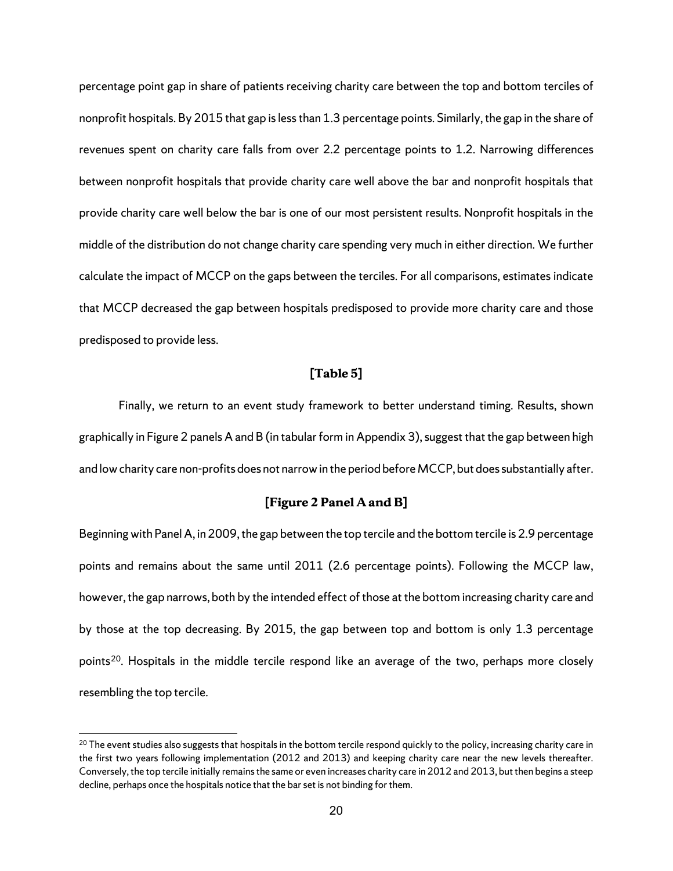percentage point gap in share of patients receiving charity care between the top and bottom terciles of nonprofit hospitals. By 2015 that gap is less than 1.3 percentage points. Similarly, the gap in the share of revenues spent on charity care falls from over 2.2 percentage points to 1.2. Narrowing differences between nonprofit hospitals that provide charity care well above the bar and nonprofit hospitals that provide charity care well below the bar is one of our most persistent results. Nonprofit hospitals in the middle of the distribution do not change charity care spending very much in either direction. We further calculate the impact of MCCP on the gaps between the terciles. For all comparisons, estimates indicate that MCCP decreased the gap between hospitals predisposed to provide more charity care and those predisposed to provide less.

### **[Table 5]**

Finally, we return to an event study framework to better understand timing. Results, shown graphically in Figure 2 panels A and B (in tabular form in Appendix 3), suggest that the gap between high and low charity care non-profits does not narrow in the period before MCCP, but does substantially after.

#### **[Figure 2 Panel A and B]**

Beginning with Panel A, in 2009, the gap between the top tercile and the bottom tercile is 2.9 percentage points and remains about the same until 2011 (2.6 percentage points). Following the MCCP law, however, the gap narrows, both by the intended effect of those at the bottom increasing charity care and by those at the top decreasing. By 2015, the gap between top and bottom is only 1.3 percentage points<sup>20</sup>. Hospitals in the middle tercile respond like an average of the two, perhaps more closely resembling the top tercile.

<span id="page-23-0"></span><sup>&</sup>lt;sup>20</sup> The event studies also suggests that hospitals in the bottom tercile respond quickly to the policy, increasing charity care in the first two years following implementation (2012 and 2013) and keeping charity care near the new levels thereafter. Conversely, the top tercile initially remains the same or even increases charity care in 2012 and 2013, but then begins a steep decline, perhaps once the hospitals notice that the bar set is not binding for them.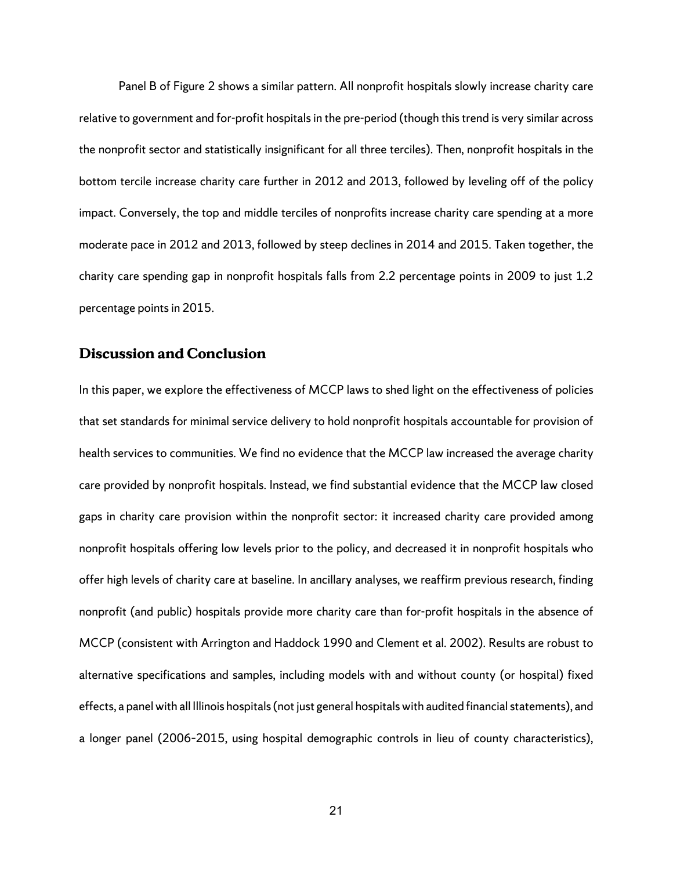Panel B of Figure 2 shows a similar pattern. All nonprofit hospitals slowly increase charity care relative to government and for-profit hospitals in the pre-period (though this trend is very similar across the nonprofit sector and statistically insignificant for all three terciles). Then, nonprofit hospitals in the bottom tercile increase charity care further in 2012 and 2013, followed by leveling off of the policy impact. Conversely, the top and middle terciles of nonprofits increase charity care spending at a more moderate pace in 2012 and 2013, followed by steep declines in 2014 and 2015. Taken together, the charity care spending gap in nonprofit hospitals falls from 2.2 percentage points in 2009 to just 1.2 percentage points in 2015.

# **Discussion and Conclusion**

In this paper, we explore the effectiveness of MCCP laws to shed light on the effectiveness of policies that set standards for minimal service delivery to hold nonprofit hospitals accountable for provision of health services to communities. We find no evidence that the MCCP law increased the average charity care provided by nonprofit hospitals. Instead, we find substantial evidence that the MCCP law closed gaps in charity care provision within the nonprofit sector: it increased charity care provided among nonprofit hospitals offering low levels prior to the policy, and decreased it in nonprofit hospitals who offer high levels of charity care at baseline. In ancillary analyses, we reaffirm previous research, finding nonprofit (and public) hospitals provide more charity care than for-profit hospitals in the absence of MCCP (consistent with Arrington and Haddock 1990 and Clement et al. 2002). Results are robust to alternative specifications and samples, including models with and without county (or hospital) fixed effects, a panel with all Illinois hospitals (not just general hospitals with audited financial statements), and a longer panel (2006–2015, using hospital demographic controls in lieu of county characteristics),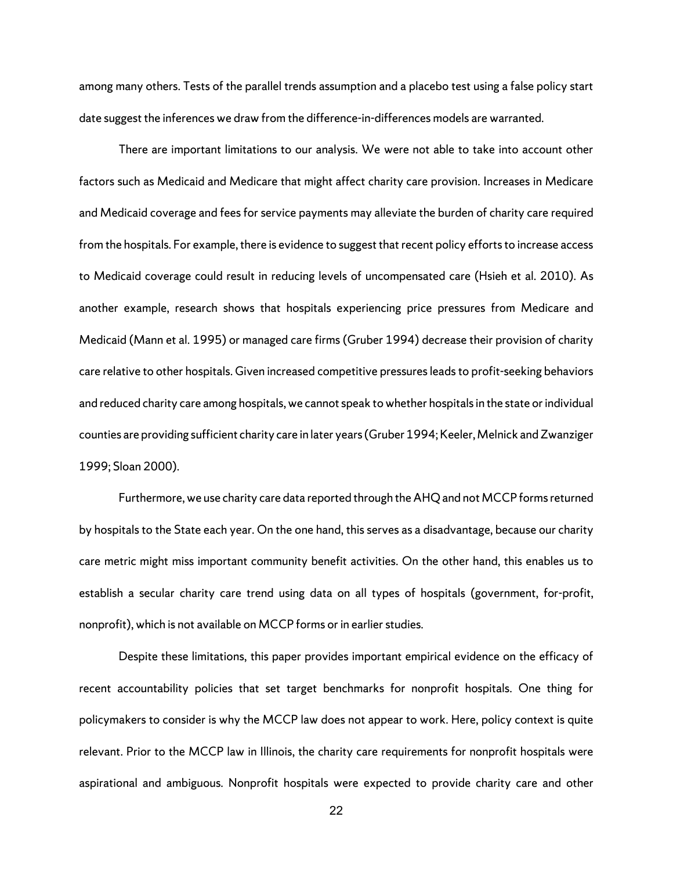among many others. Tests of the parallel trends assumption and a placebo test using a false policy start date suggest the inferences we draw from the difference-in-differences models are warranted.

There are important limitations to our analysis. We were not able to take into account other factors such as Medicaid and Medicare that might affect charity care provision. Increases in Medicare and Medicaid coverage and fees for service payments may alleviate the burden of charity care required from the hospitals. For example, there is evidence to suggest that recent policy efforts to increase access to Medicaid coverage could result in reducing levels of uncompensated care (Hsieh et al. 2010). As another example, research shows that hospitals experiencing price pressures from Medicare and Medicaid (Mann et al. 1995) or managed care firms (Gruber 1994) decrease their provision of charity care relative to other hospitals. Given increased competitive pressures leads to profit-seeking behaviors and reduced charity care among hospitals, we cannot speak to whether hospitals in the state or individual counties are providing sufficient charity care in later years (Gruber 1994; Keeler, Melnick and Zwanziger 1999; Sloan 2000).

Furthermore, we use charity care data reported through the AHQ and not MCCP forms returned by hospitals to the State each year. On the one hand, this serves as a disadvantage, because our charity care metric might miss important community benefit activities. On the other hand, this enables us to establish a secular charity care trend using data on all types of hospitals (government, for-profit, nonprofit), which is not available on MCCP forms or in earlier studies.

Despite these limitations, this paper provides important empirical evidence on the efficacy of recent accountability policies that set target benchmarks for nonprofit hospitals. One thing for policymakers to consider is why the MCCP law does not appear to work. Here, policy context is quite relevant. Prior to the MCCP law in Illinois, the charity care requirements for nonprofit hospitals were aspirational and ambiguous. Nonprofit hospitals were expected to provide charity care and other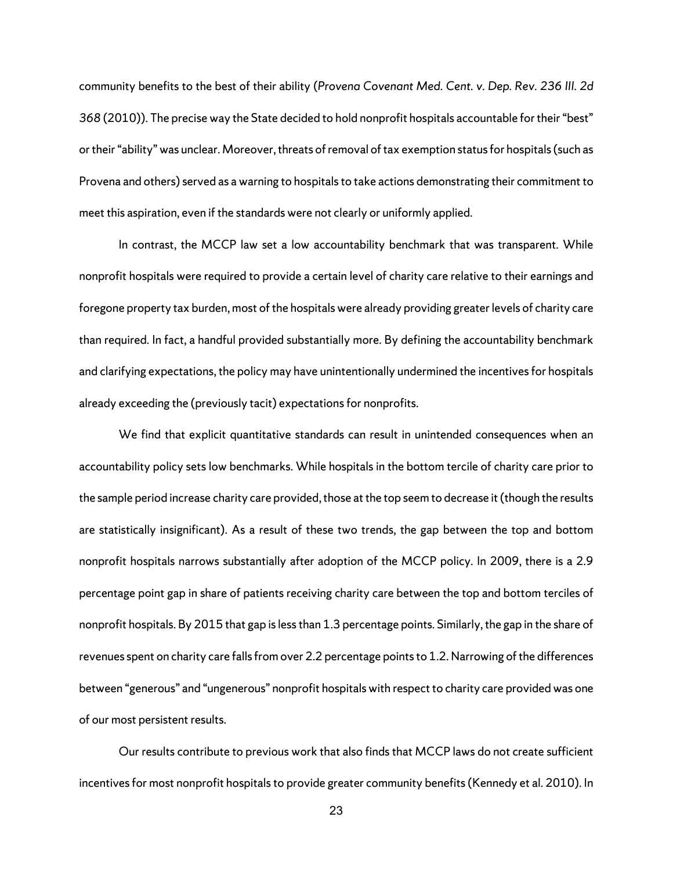community benefits to the best of their ability (*Provena Covenant Med. Cent. v. Dep. Rev. 236 III. 2d 368* (2010)). The precise way the State decided to hold nonprofit hospitals accountable for their "best" or their "ability" was unclear. Moreover, threats of removal of tax exemption status for hospitals (such as Provena and others) served as a warning to hospitals to take actions demonstrating their commitment to meet this aspiration, even if the standards were not clearly or uniformly applied.

In contrast, the MCCP law set a low accountability benchmark that was transparent. While nonprofit hospitals were required to provide a certain level of charity care relative to their earnings and foregone property tax burden, most of the hospitals were already providing greater levels of charity care than required. In fact, a handful provided substantially more. By defining the accountability benchmark and clarifying expectations, the policy may have unintentionally undermined the incentives for hospitals already exceeding the (previously tacit) expectations for nonprofits.

We find that explicit quantitative standards can result in unintended consequences when an accountability policy sets low benchmarks. While hospitals in the bottom tercile of charity care prior to the sample period increase charity care provided, those at the top seem to decrease it (though the results are statistically insignificant). As a result of these two trends, the gap between the top and bottom nonprofit hospitals narrows substantially after adoption of the MCCP policy. In 2009, there is a 2.9 percentage point gap in share of patients receiving charity care between the top and bottom terciles of nonprofit hospitals. By 2015 that gap is less than 1.3 percentage points. Similarly, the gap in the share of revenues spent on charity care falls from over 2.2 percentage points to 1.2. Narrowing of the differences between "generous" and "ungenerous" nonprofit hospitals with respect to charity care provided was one of our most persistent results.

Our results contribute to previous work that also finds that MCCP laws do not create sufficient incentives for most nonprofit hospitals to provide greater community benefits(Kennedy et al. 2010). In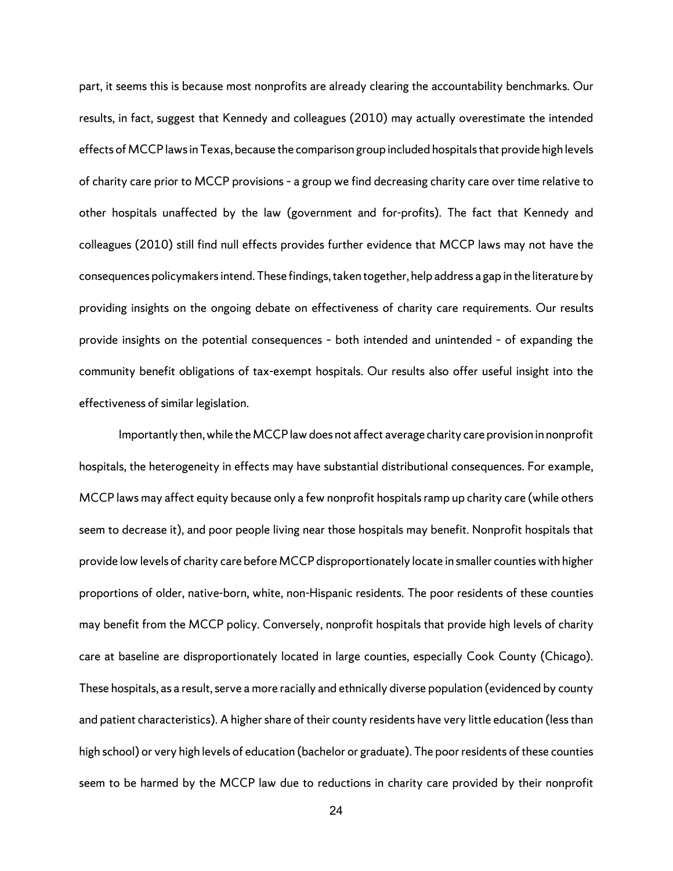part, it seems this is because most nonprofits are already clearing the accountability benchmarks. Our results, in fact, suggest that Kennedy and colleagues (2010) may actually overestimate the intended effects of MCCP laws in Texas, because the comparison group included hospitals that provide high levels of charity care prior to MCCP provisions – a group we find decreasing charity care over time relative to other hospitals unaffected by the law (government and for-profits). The fact that Kennedy and colleagues (2010) still find null effects provides further evidence that MCCP laws may not have the consequences policymakers intend. These findings, taken together, help address a gap in the literature by providing insights on the ongoing debate on effectiveness of charity care requirements. Our results provide insights on the potential consequences – both intended and unintended – of expanding the community benefit obligations of tax-exempt hospitals. Our results also offer useful insight into the effectiveness of similar legislation.

Importantly then, while the MCCP law does not affect average charity care provision in nonprofit hospitals, the heterogeneity in effects may have substantial distributional consequences. For example, MCCP laws may affect equity because only a few nonprofit hospitals ramp up charity care (while others seem to decrease it), and poor people living near those hospitals may benefit. Nonprofit hospitals that provide low levels of charity care before MCCP disproportionately locate in smaller counties with higher proportions of older, native-born, white, non-Hispanic residents. The poor residents of these counties may benefit from the MCCP policy. Conversely, nonprofit hospitals that provide high levels of charity care at baseline are disproportionately located in large counties, especially Cook County (Chicago). These hospitals, as a result, serve a more racially and ethnically diverse population (evidenced by county and patient characteristics). A higher share of their county residents have very little education (less than high school) or very high levels of education (bachelor or graduate). The poor residents of these counties seem to be harmed by the MCCP law due to reductions in charity care provided by their nonprofit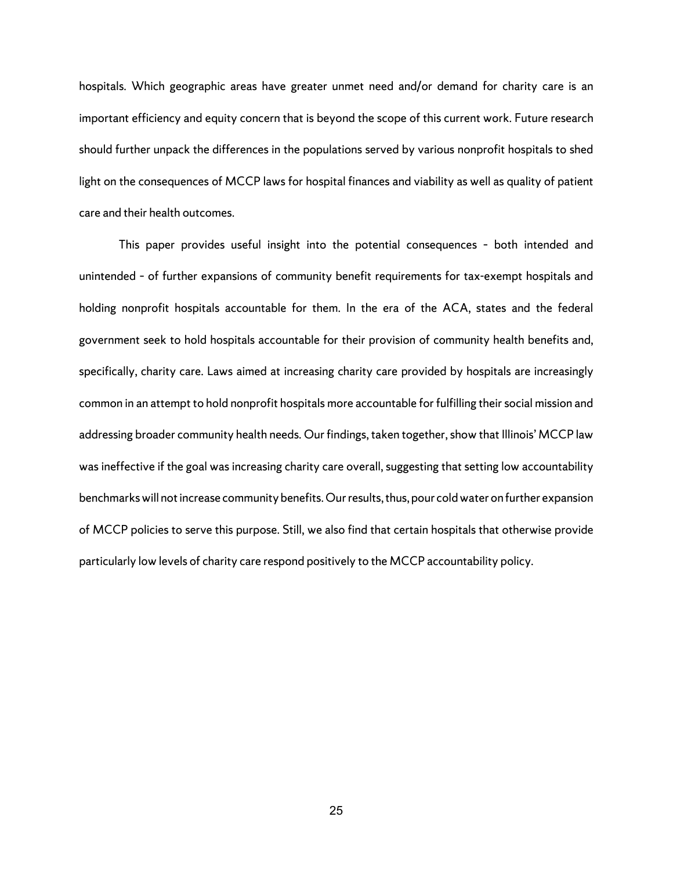hospitals. Which geographic areas have greater unmet need and/or demand for charity care is an important efficiency and equity concern that is beyond the scope of this current work. Future research should further unpack the differences in the populations served by various nonprofit hospitals to shed light on the consequences of MCCP laws for hospital finances and viability as well as quality of patient care and their health outcomes.

This paper provides useful insight into the potential consequences – both intended and unintended – of further expansions of community benefit requirements for tax-exempt hospitals and holding nonprofit hospitals accountable for them. In the era of the ACA, states and the federal government seek to hold hospitals accountable for their provision of community health benefits and, specifically, charity care. Laws aimed at increasing charity care provided by hospitals are increasingly common in an attempt to hold nonprofit hospitals more accountable for fulfilling their social mission and addressing broader community health needs. Our findings, taken together, show that Illinois' MCCP law was ineffective if the goal was increasing charity care overall, suggesting that setting low accountability benchmarks will not increase community benefits. Our results, thus, pour cold water on further expansion of MCCP policies to serve this purpose. Still, we also find that certain hospitals that otherwise provide particularly low levels of charity care respond positively to the MCCP accountability policy.

25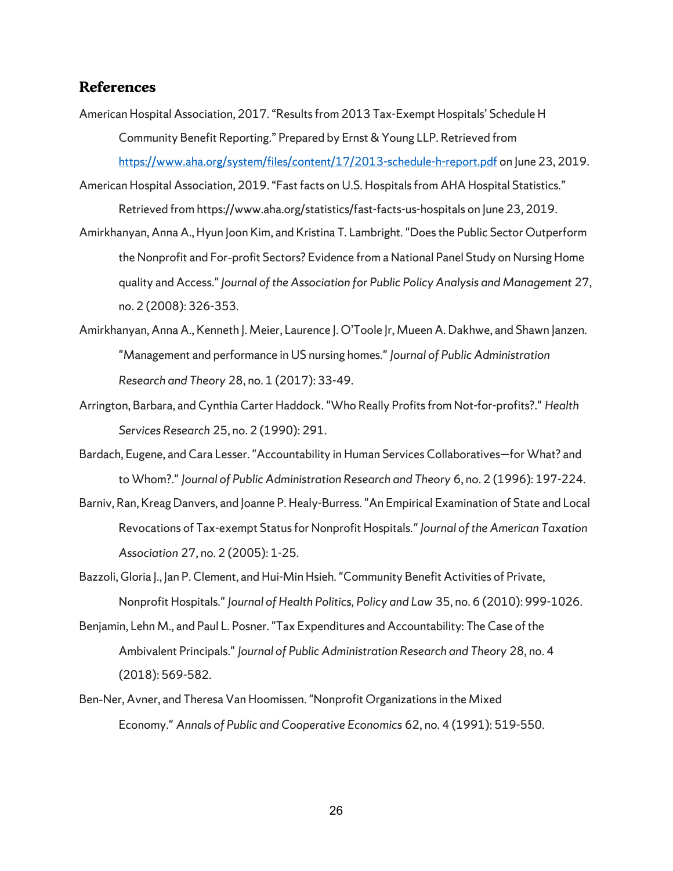# **References**

- American Hospital Association, 2017. "Results from 2013 Tax-Exempt Hospitals' Schedule H Community Benefit Reporting." Prepared by Ernst & Young LLP. Retrieved from <https://www.aha.org/system/files/content/17/2013-schedule-h-report.pdf> on June 23, 2019.
- American Hospital Association, 2019. "Fast facts on U.S. Hospitals from AHA Hospital Statistics." Retrieved from https://www.aha.org/statistics/fast-facts-us-hospitals on June 23, 2019.
- Amirkhanyan, Anna A., Hyun Joon Kim, and Kristina T. Lambright. "Does the Public Sector Outperform the Nonprofit and For‐profit Sectors? Evidence from a National Panel Study on Nursing Home quality and Access." *Journal of the Association for Public Policy Analysis and Management* 27, no. 2 (2008): 326-353.
- Amirkhanyan, Anna A., Kenneth J. Meier, Laurence J. O'Toole Jr, Mueen A. Dakhwe, and Shawn Janzen. "Management and performance in US nursing homes." *Journal of Public Administration Research and Theory* 28, no. 1 (2017): 33-49.
- Arrington, Barbara, and Cynthia Carter Haddock. "Who Really Profits from Not-for-profits?." *Health Services Research* 25, no. 2 (1990): 291.
- Bardach, Eugene, and Cara Lesser. "Accountability in Human Services Collaboratives—for What? and to Whom?." *Journal of Public Administration Research and Theory* 6, no. 2 (1996): 197-224.
- Barniv, Ran, Kreag Danvers, and Joanne P. Healy-Burress. "An Empirical Examination of State and Local Revocations of Tax-exempt Status for Nonprofit Hospitals*." Journal of the American Taxation Association* 27, no. 2 (2005): 1-25.
- Bazzoli, Gloria I., Jan P. Clement, and Hui-Min Hsieh. "Community Benefit Activities of Private, Nonprofit Hospitals." *Journal of Health Politics, Policy and Law* 35, no. 6 (2010): 999-1026.
- Benjamin, Lehn M., and Paul L. Posner. "Tax Expenditures and Accountability: The Case of the Ambivalent Principals." *Journal of Public Administration Research and Theory* 28, no. 4 (2018): 569-582.
- Ben‐Ner, Avner, and Theresa Van Hoomissen. "Nonprofit Organizations in the Mixed Economy." *Annals of Public and Cooperative Economics* 62, no. 4 (1991): 519-550.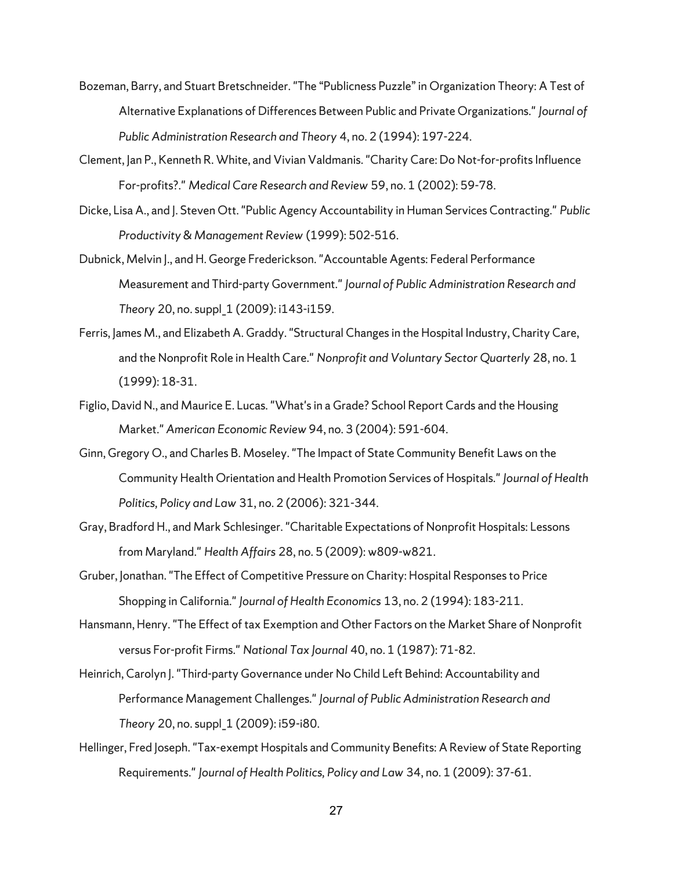- Bozeman, Barry, and Stuart Bretschneider. "The "Publicness Puzzle" in Organization Theory: A Test of Alternative Explanations of Differences Between Public and Private Organizations." *Journal of Public Administration Research and Theory* 4, no. 2 (1994): 197-224.
- Clement, Jan P., Kenneth R. White, and Vivian Valdmanis. "Charity Care: Do Not-for-profits Influence For-profits?." *Medical Care Research and Review* 59, no. 1 (2002): 59-78.
- Dicke, Lisa A., and J. Steven Ott. "Public Agency Accountability in Human Services Contracting." *Public Productivity & Management Review* (1999): 502-516.
- Dubnick, Melvin J., and H. George Frederickson. "Accountable Agents: Federal Performance Measurement and Third-party Government." *Journal of Public Administration Research and Theory* 20, no. suppl\_1 (2009): i143-i159.
- Ferris, James M., and Elizabeth A. Graddy. "Structural Changes in the Hospital Industry, Charity Care, and the Nonprofit Role in Health Care." *Nonprofit and Voluntary Sector Quarterly* 28, no. 1 (1999): 18-31.
- Figlio, David N., and Maurice E. Lucas. "What's in a Grade? School Report Cards and the Housing Market." *American Economic Review* 94, no. 3 (2004): 591-604.
- Ginn, Gregory O., and Charles B. Moseley. "The Impact of State Community Benefit Laws on the Community Health Orientation and Health Promotion Services of Hospitals." *Journal of Health Politics, Policy and Law* 31, no. 2 (2006): 321-344.
- Gray, Bradford H., and Mark Schlesinger. "Charitable Expectations of Nonprofit Hospitals: Lessons from Maryland." *Health Affairs* 28, no. 5 (2009): w809-w821.
- Gruber, Jonathan. "The Effect of Competitive Pressure on Charity: Hospital Responses to Price Shopping in California." *Journal of Health Economics* 13, no. 2 (1994): 183-211.
- Hansmann, Henry. "The Effect of tax Exemption and Other Factors on the Market Share of Nonprofit versus For-profit Firms." *National Tax Journal* 40, no. 1 (1987): 71-82.
- Heinrich, Carolyn J. "Third-party Governance under No Child Left Behind: Accountability and Performance Management Challenges." *Journal of Public Administration Research and Theory* 20, no. suppl\_1 (2009): i59-i80.
- Hellinger, Fred Joseph. "Tax-exempt Hospitals and Community Benefits: A Review of State Reporting Requirements." *Journal of Health Politics, Policy and Law* 34, no. 1 (2009): 37-61.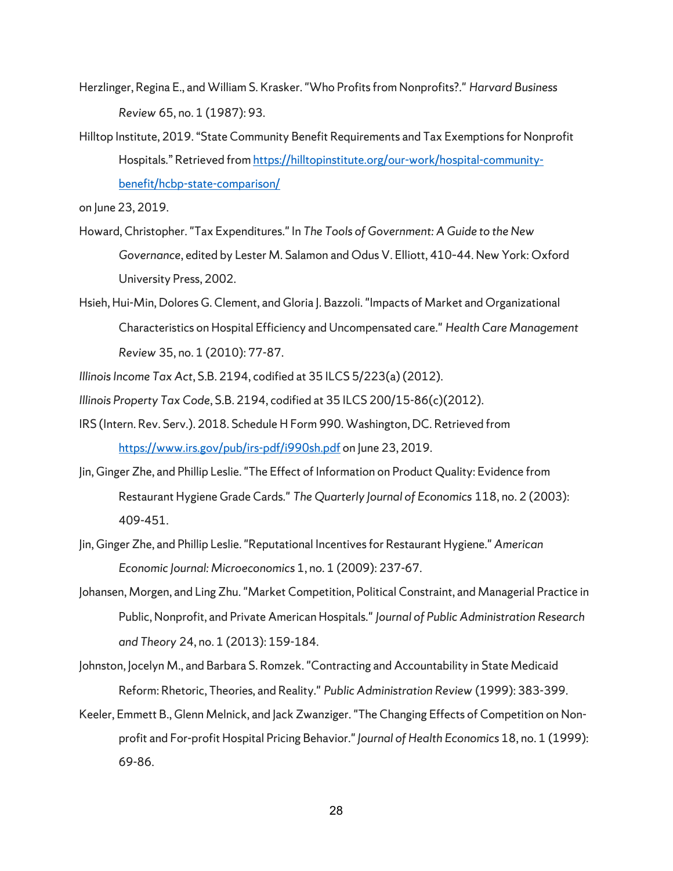- Herzlinger, Regina E., and William S. Krasker. "Who Profits from Nonprofits?." *Harvard Business Review* 65, no. 1 (1987): 93.
- Hilltop Institute, 2019. "State Community Benefit Requirements and Tax Exemptions for Nonprofit Hospitals." Retrieved fro[m https://hilltopinstitute.org/our-work/hospital-community](https://hilltopinstitute.org/our-work/hospital-community-benefit/hcbp-state-comparison/)[benefit/hcbp-state-comparison/](https://hilltopinstitute.org/our-work/hospital-community-benefit/hcbp-state-comparison/)

on June 23, 2019.

- Howard, Christopher. "Tax Expenditures." In *The Tools of Government: A Guide to the New Governance*, edited by Lester M. Salamon and Odus V. Elliott, 410–44. New York: Oxford University Press, 2002.
- Hsieh, Hui-Min, Dolores G. Clement, and Gloria J. Bazzoli. "Impacts of Market and Organizational Characteristics on Hospital Efficiency and Uncompensated care." *Health Care Management Review* 35, no. 1 (2010): 77-87.
- *Illinois Income Tax Act*, S.B. 2194, codified at 35 ILCS 5/223(a) (2012).
- *Illinois Property Tax Code*, S.B. 2194, codified at 35 ILCS 200/15-86(c)(2012).
- IRS (Intern. Rev. Serv.). 2018. Schedule H Form 990. Washington, DC. Retrieved from <https://www.irs.gov/pub/irs-pdf/i990sh.pdf> on June 23, 2019.
- Jin, Ginger Zhe, and Phillip Leslie. "The Effect of Information on Product Quality: Evidence from Restaurant Hygiene Grade Cards." *The Quarterly Journal of Economics* 118, no. 2 (2003): 409-451.
- Jin, Ginger Zhe, and Phillip Leslie. "Reputational Incentives for Restaurant Hygiene." *American Economic Journal: Microeconomics* 1, no. 1 (2009): 237-67.
- Johansen, Morgen, and Ling Zhu. "Market Competition, Political Constraint, and Managerial Practice in Public, Nonprofit, and Private American Hospitals." *Journal of Public Administration Research and Theory* 24, no. 1 (2013): 159-184.
- Johnston, Jocelyn M., and Barbara S. Romzek. "Contracting and Accountability in State Medicaid Reform: Rhetoric, Theories, and Reality." *Public Administration Review* (1999): 383-399.
- Keeler, Emmett B., Glenn Melnick, and Jack Zwanziger. "The Changing Effects of Competition on Nonprofit and For-profit Hospital Pricing Behavior." *Journal of Health Economics* 18, no. 1 (1999): 69-86.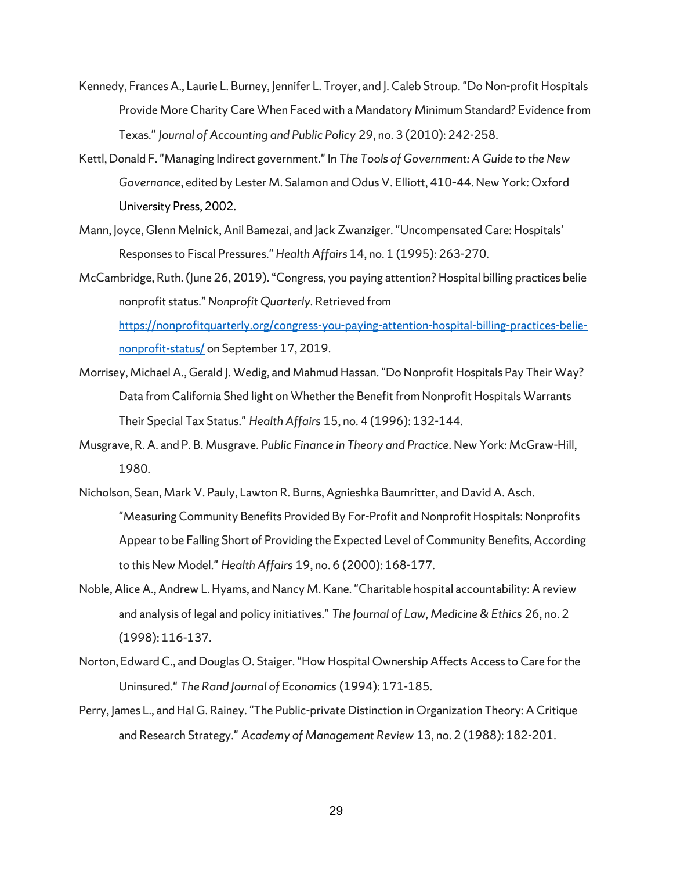- Kennedy, Frances A., Laurie L. Burney, Jennifer L. Troyer, and J. Caleb Stroup. "Do Non-profit Hospitals Provide More Charity Care When Faced with a Mandatory Minimum Standard? Evidence from Texas." *Journal of Accounting and Public Policy* 29, no. 3 (2010): 242-258.
- Kettl, Donald F. "Managing Indirect government." In *The Tools of Government: A Guide to the New Governance*, edited by Lester M. Salamon and Odus V. Elliott, 410–44. New York: Oxford University Press, 2002.
- Mann, Joyce, Glenn Melnick, Anil Bamezai, and Jack Zwanziger. "Uncompensated Care: Hospitals' Responses to Fiscal Pressures." *Health Affairs* 14, no. 1 (1995): 263-270.
- McCambridge, Ruth. (June 26, 2019). "Congress, you paying attention? Hospital billing practices belie nonprofit status." *Nonprofit Quarterly.* Retrieved from [https://nonprofitquarterly.org/congress-you-paying-attention-hospital-billing-practices-belie](https://nonprofitquarterly.org/congress-you-paying-attention-hospital-billing-practices-belie-nonprofit-status/)[nonprofit-status/](https://nonprofitquarterly.org/congress-you-paying-attention-hospital-billing-practices-belie-nonprofit-status/) on September 17, 2019.
- Morrisey, Michael A., Gerald J. Wedig, and Mahmud Hassan. "Do Nonprofit Hospitals Pay Their Way? Data from California Shed light on Whether the Benefit from Nonprofit Hospitals Warrants Their Special Tax Status." *Health Affairs* 15, no. 4 (1996): 132-144.
- Musgrave, R. A. and P. B. Musgrave. *Public Finance in Theory and Practice*. New York: McGraw-Hill, 1980.
- Nicholson, Sean, Mark V. Pauly, Lawton R. Burns, Agnieshka Baumritter, and David A. Asch. "Measuring Community Benefits Provided By For-Profit and Nonprofit Hospitals: Nonprofits Appear to be Falling Short of Providing the Expected Level of Community Benefits, According to this New Model." *Health Affairs* 19, no. 6 (2000): 168-177.
- Noble, Alice A., Andrew L. Hyams, and Nancy M. Kane. "Charitable hospital accountability: A review and analysis of legal and policy initiatives." *The Journal of Law, Medicine & Ethics* 26, no. 2 (1998): 116-137.
- Norton, Edward C., and Douglas O. Staiger. "How Hospital Ownership Affects Access to Care for the Uninsured." *The Rand Journal of Economics* (1994): 171-185.
- Perry, James L., and Hal G. Rainey. "The Public-private Distinction in Organization Theory: A Critique and Research Strategy." *Academy of Management Review* 13, no. 2 (1988): 182-201.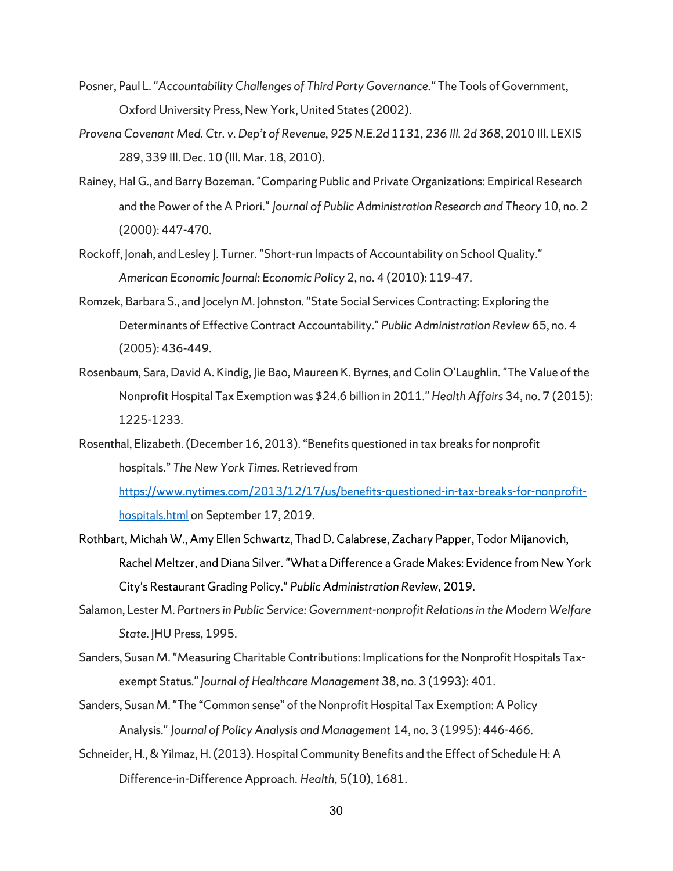- Posner, Paul L. "*Accountability Challenges of Third Party Governance."* The Tools of Government, Oxford University Press, New York, United States (2002).
- *Provena Covenant Med. Ctr. v. Dep't of Revenue, 925 N.E.2d 1131, 236 Ill. 2d 368*, 2010 Ill. LEXIS 289, 339 Ill. Dec. 10 (Ill. Mar. 18, 2010).
- Rainey, Hal G., and Barry Bozeman. "Comparing Public and Private Organizations: Empirical Research and the Power of the A Priori." *Journal of Public Administration Research and Theory* 10, no. 2 (2000): 447-470.
- Rockoff, Jonah, and Lesley J. Turner. "Short-run Impacts of Accountability on School Quality." *American Economic Journal: Economic Policy* 2, no. 4 (2010): 119-47.
- Romzek, Barbara S., and Jocelyn M. Johnston. "State Social Services Contracting: Exploring the Determinants of Effective Contract Accountability." *Public Administration Review* 65, no. 4 (2005): 436-449.
- Rosenbaum, Sara, David A. Kindig, Jie Bao, Maureen K. Byrnes, and Colin O'Laughlin. "The Value of the Nonprofit Hospital Tax Exemption was \$24.6 billion in 2011." *Health Affairs* 34, no. 7 (2015): 1225-1233.
- Rosenthal, Elizabeth. (December 16, 2013). "Benefits questioned in tax breaks for nonprofit hospitals." *The New York Times*. Retrieved from

[https://www.nytimes.com/2013/12/17/us/benefits-questioned-in-tax-breaks-for-nonprofit](https://www.nytimes.com/2013/12/17/us/benefits-questioned-in-tax-breaks-for-nonprofit-hospitals.html)[hospitals.html](https://www.nytimes.com/2013/12/17/us/benefits-questioned-in-tax-breaks-for-nonprofit-hospitals.html) on September 17, 2019.

- Rothbart, Michah W., Amy Ellen Schwartz, Thad D. Calabrese, Zachary Papper, Todor Mijanovich, Rachel Meltzer, and Diana Silver. "What a Difference a Grade Makes: Evidence from New York City's Restaurant Grading Policy." *Public Administration Review,* 2019.
- Salamon, Lester M. *Partners in Public Service: Government-nonprofit Relations in the Modern Welfare State*. JHU Press, 1995.
- Sanders, Susan M. "Measuring Charitable Contributions: Implications for the Nonprofit Hospitals Taxexempt Status." *Journal of Healthcare Management* 38, no. 3 (1993): 401.
- Sanders, Susan M. "The "Common sense" of the Nonprofit Hospital Tax Exemption: A Policy Analysis." *Journal of Policy Analysis and Management* 14, no. 3 (1995): 446-466.
- Schneider, H., & Yilmaz, H. (2013). Hospital Community Benefits and the Effect of Schedule H: A Difference-in-Difference Approach. *Health*, 5(10), 1681.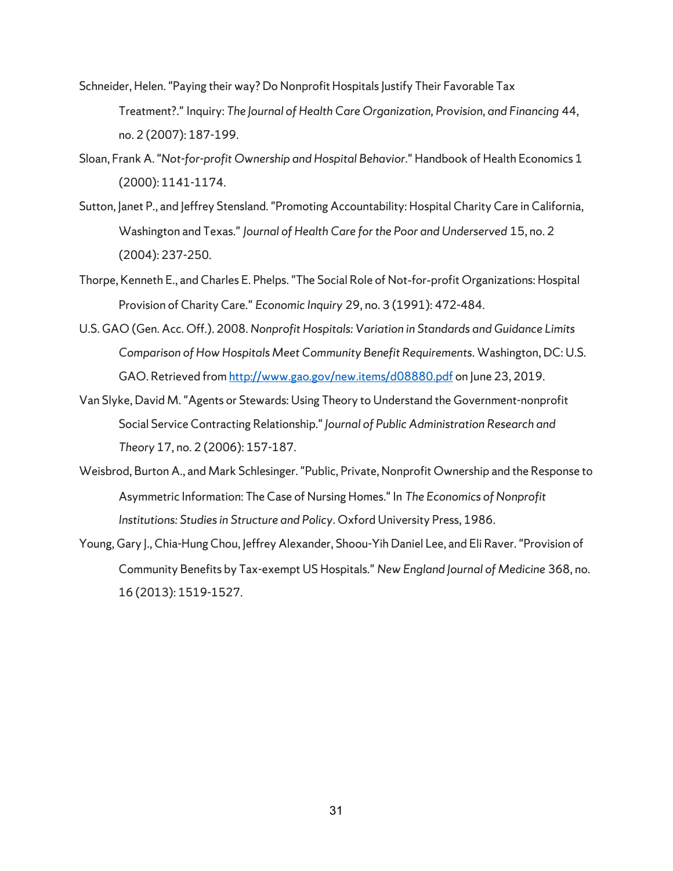- Schneider, Helen. "Paying their way? Do Nonprofit Hospitals Justify Their Favorable Tax Treatment?." Inquiry: *The Journal of Health Care Organization, Provision, and Financing* 44, no. 2 (2007): 187-199.
- Sloan, Frank A. "*Not-for-profit Ownership and Hospital Behavior*." Handbook of Health Economics 1 (2000): 1141-1174.
- Sutton, Janet P., and Jeffrey Stensland. "Promoting Accountability: Hospital Charity Care in California, Washington and Texas." *Journal of Health Care for the Poor and Underserved* 15, no. 2 (2004): 237-250.
- Thorpe, Kenneth E., and Charles E. Phelps. "The Social Role of Not‐for‐profit Organizations: Hospital Provision of Charity Care." *Economic Inquiry* 29, no. 3 (1991): 472-484.
- U.S. GAO (Gen. Acc. Off.). 2008. *Nonprofit Hospitals: Variation in Standards and Guidance Limits Comparison of How Hospitals Meet Community Benefit Requirements*. Washington, DC: U.S. GAO. Retrieved fro[m http://www.gao.gov/new.items/d08880.pdf](http://www.gao.gov/new.items/d08880.pdf) on June 23, 2019.
- Van Slyke, David M. "Agents or Stewards: Using Theory to Understand the Government-nonprofit Social Service Contracting Relationship." *Journal of Public Administration Research and Theory* 17, no. 2 (2006): 157-187.
- Weisbrod, Burton A., and Mark Schlesinger. "Public, Private, Nonprofit Ownership and the Response to Asymmetric Information: The Case of Nursing Homes." In *The Economics of Nonprofit Institutions: Studies in Structure and Policy*. Oxford University Press, 1986.
- Young, Gary J., Chia-Hung Chou, Jeffrey Alexander, Shoou-Yih Daniel Lee, and Eli Raver. "Provision of Community Benefits by Tax-exempt US Hospitals." *New England Journal of Medicine* 368, no. 16 (2013): 1519-1527.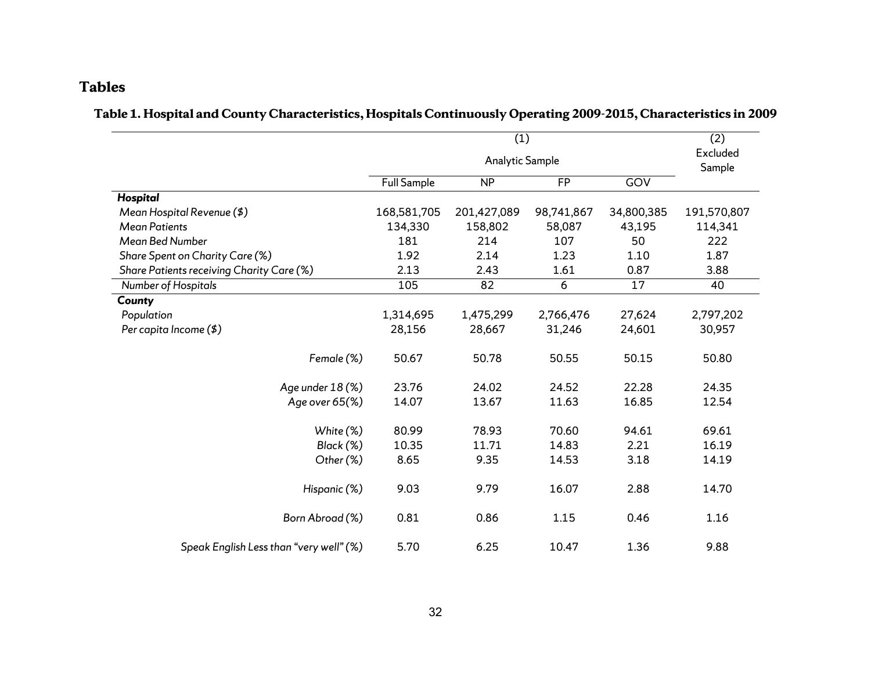# **Tables**

# **Table 1. Hospital and County Characteristics, Hospitals Continuously Operating 2009-2015, Characteristics in 2009**

|                                           |                    | (1)                    |            |            | (2)                |
|-------------------------------------------|--------------------|------------------------|------------|------------|--------------------|
|                                           |                    | <b>Analytic Sample</b> |            |            | Excluded<br>Sample |
|                                           | <b>Full Sample</b> | <b>NP</b>              | <b>FP</b>  | GOV        |                    |
| Hospital                                  |                    |                        |            |            |                    |
| Mean Hospital Revenue (\$)                | 168,581,705        | 201,427,089            | 98,741,867 | 34,800,385 | 191,570,807        |
| <b>Mean Patients</b>                      | 134,330            | 158,802                | 58,087     | 43,195     | 114,341            |
| Mean Bed Number                           | 181                | 214                    | 107        | 50         | 222                |
| Share Spent on Charity Care (%)           | 1.92               | 2.14                   | 1.23       | 1.10       | 1.87               |
| Share Patients receiving Charity Care (%) | 2.13               | 2.43                   | 1.61       | 0.87       | 3.88               |
| Number of Hospitals                       | 105                | 82                     | 6          | 17         | 40                 |
| County                                    |                    |                        |            |            |                    |
| Population                                | 1,314,695          | 1,475,299              | 2,766,476  | 27,624     | 2,797,202          |
| Per capita Income (\$)                    | 28,156             | 28,667                 | 31,246     | 24,601     | 30,957             |
| Female (%)                                | 50.67              | 50.78                  | 50.55      | 50.15      | 50.80              |
| Age under 18 (%)                          | 23.76              | 24.02                  | 24.52      | 22.28      | 24.35              |
| Age over 65(%)                            | 14.07              | 13.67                  | 11.63      | 16.85      | 12.54              |
| White (%)                                 | 80.99              | 78.93                  | 70.60      | 94.61      | 69.61              |
| Black (%)                                 | 10.35              | 11.71                  | 14.83      | 2.21       | 16.19              |
| Other (%)                                 | 8.65               | 9.35                   | 14.53      | 3.18       | 14.19              |
| Hispanic (%)                              | 9.03               | 9.79                   | 16.07      | 2.88       | 14.70              |
| Born Abroad (%)                           | 0.81               | 0.86                   | 1.15       | 0.46       | 1.16               |
| Speak English Less than "very well" (%)   | 5.70               | 6.25                   | 10.47      | 1.36       | 9.88               |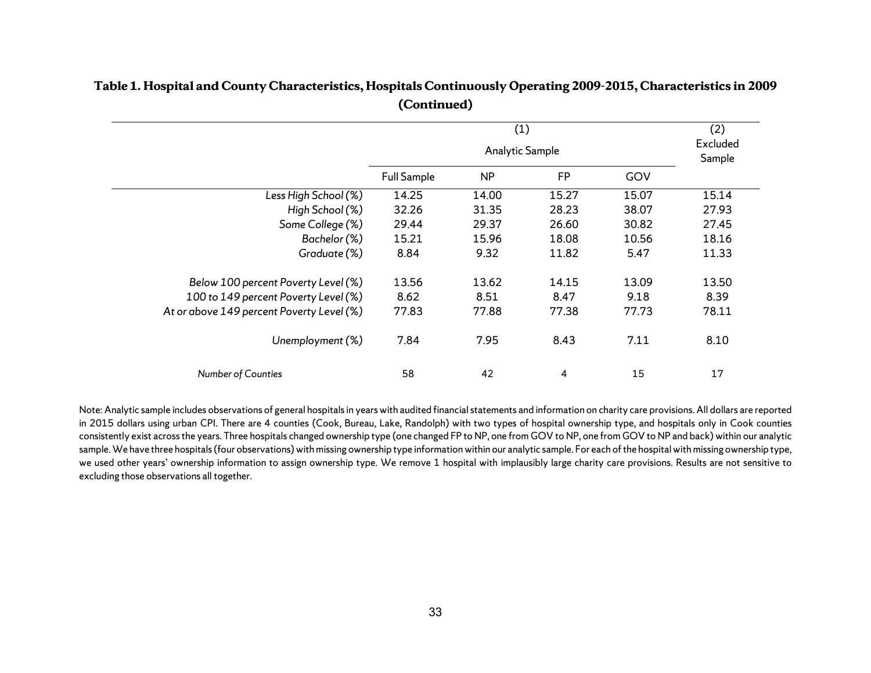|                                           |                    |           | (2)<br>Excluded<br>Sample |       |       |
|-------------------------------------------|--------------------|-----------|---------------------------|-------|-------|
|                                           | <b>Full Sample</b> | <b>NP</b> | <b>FP</b>                 | GOV   |       |
| Less High School (%)                      | 14.25              | 14.00     | 15.27                     | 15.07 | 15.14 |
| High School (%)                           | 32.26              | 31.35     | 28.23                     | 38.07 | 27.93 |
| Some College (%)                          | 29.44              | 29.37     | 26.60                     | 30.82 | 27.45 |
| Bachelor (%)                              | 15.21              | 15.96     | 18.08                     | 10.56 | 18.16 |
| Graduate (%)                              | 8.84               | 9.32      | 11.82                     | 5.47  | 11.33 |
| Below 100 percent Poverty Level (%)       | 13.56              | 13.62     | 14.15                     | 13.09 | 13.50 |
| 100 to 149 percent Poverty Level (%)      | 8.62               | 8.51      | 8.47                      | 9.18  | 8.39  |
| At or above 149 percent Poverty Level (%) | 77.83              | 77.88     | 77.38                     | 77.73 | 78.11 |
| Unemployment (%)                          | 7.84               | 7.95      | 8.43                      | 7.11  | 8.10  |
| <b>Number of Counties</b>                 | 58                 | 42        | 4                         | 15    | 17    |

# **Table 1. Hospital and County Characteristics, Hospitals Continuously Operating 2009-2015, Characteristics in 2009 (Continued)**

Note: Analytic sample includes observations of general hospitalsin years with audited financial statements and information on charity care provisions. All dollars are reported in 2015 dollars using urban CPI. There are 4 counties (Cook, Bureau, Lake, Randolph) with two types of hospital ownership type, and hospitals only in Cook counties consistently exist across the years. Three hospitals changed ownership type (one changed FP to NP, one from GOV to NP, one from GOV to NP and back) within our analytic sample. We have three hospitals (four observations) with missing ownership type information within our analytic sample. For each of the hospital with missing ownership type, we used other years' ownership information to assign ownership type. We remove 1 hospital with implausibly large charity care provisions. Results are not sensitive to excluding those observations all together.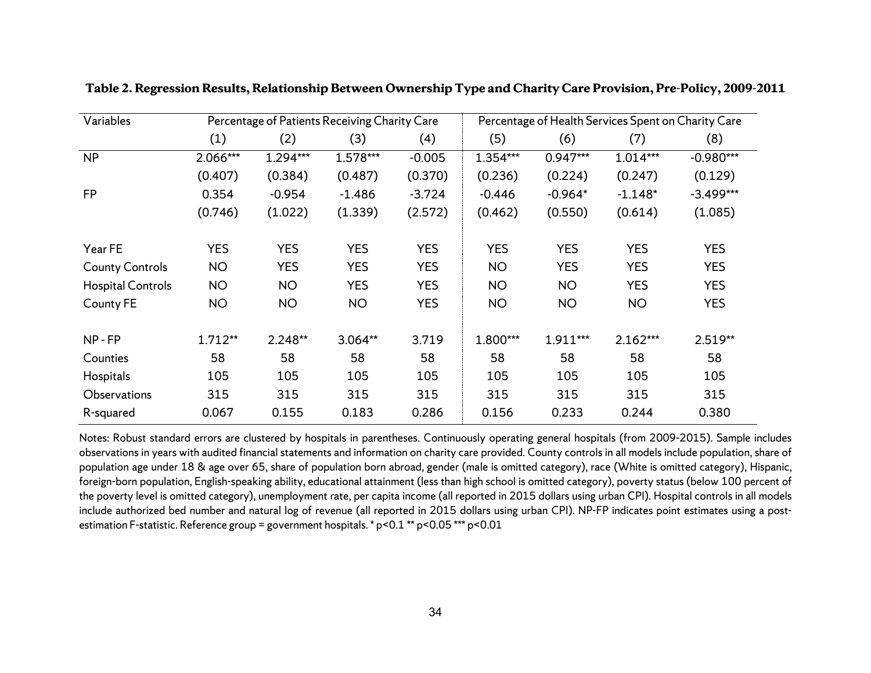| Variables                |            | Percentage of Patients Receiving Charity Care |            |            | Percentage of Health Services Spent on Charity Care |            |            |             |  |
|--------------------------|------------|-----------------------------------------------|------------|------------|-----------------------------------------------------|------------|------------|-------------|--|
|                          | (1)        | (2)                                           | (3)        | (4)        | (5)                                                 | (6)        | (7)        | (8)         |  |
| <b>NP</b>                | 2.066***   | 1.294***                                      | 1.578***   | $-0.005$   | 1.354***                                            | $0.947***$ | 1.014***   | $-0.980***$ |  |
|                          | (0.407)    | (0.384)                                       | (0.487)    | (0.370)    | (0.236)                                             | (0.224)    | (0.247)    | (0.129)     |  |
| <b>FP</b>                | 0.354      | $-0.954$                                      | $-1.486$   | $-3.724$   | $-0.446$                                            | $-0.964*$  | $-1.148*$  | $-3.499***$ |  |
|                          | (0.746)    | (1.022)                                       | (1.339)    | (2.572)    | (0.462)                                             | (0.550)    | (0.614)    | (1.085)     |  |
| Year FE                  | <b>YES</b> | <b>YES</b>                                    | <b>YES</b> | <b>YES</b> | <b>YES</b>                                          | <b>YES</b> | <b>YES</b> | <b>YES</b>  |  |
| <b>County Controls</b>   | <b>NO</b>  | <b>YES</b>                                    | <b>YES</b> | <b>YES</b> | <b>NO</b>                                           | <b>YES</b> | <b>YES</b> | <b>YES</b>  |  |
| <b>Hospital Controls</b> | <b>NO</b>  | <b>NO</b>                                     | <b>YES</b> | <b>YES</b> | <b>NO</b>                                           | <b>NO</b>  | <b>YES</b> | <b>YES</b>  |  |
| County FE                | <b>NO</b>  | <b>NO</b>                                     | <b>NO</b>  | <b>YES</b> | <b>NO</b>                                           | <b>NO</b>  | <b>NO</b>  | <b>YES</b>  |  |
| NP-FP                    | $1.712**$  | $2.248**$                                     | 3.064**    | 3.719      | 1.800***                                            | 1.911***   | $2.162***$ | 2.519**     |  |
| Counties                 | 58         | 58                                            | 58         | 58         | 58                                                  | 58         | 58         | 58          |  |
| Hospitals                | 105        | 105                                           | 105        | 105        | 105                                                 | 105        | 105        | 105         |  |
| Observations             | 315        | 315                                           | 315        | 315        | 315                                                 | 315        | 315        | 315         |  |
| R-squared                | 0.067      | 0.155                                         | 0.183      | 0.286      | 0.156                                               | 0.233      | 0.244      | 0.380       |  |

**Table 2. Regression Results, Relationship Between Ownership Type and Charity Care Provision, Pre-Policy, 2009-2011**

Notes: Robust standard errors are clustered by hospitals in parentheses. Continuously operating general hospitals (from 2009-2015). Sample includes observations in years with audited financial statements and information on charity care provided. County controls in all models include population, share of population age under 18 & age over 65, share of population born abroad, gender (male is omitted category), race (White is omitted category), Hispanic, foreign-born population, English-speaking ability, educational attainment (less than high school is omitted category), poverty status (below 100 percent of the poverty level is omitted category), unemployment rate, per capita income (all reported in 2015 dollars using urban CPI). Hospital controls in all models include authorized bed number and natural log of revenue (all reported in 2015 dollars using urban CPI). NP-FP indicates point estimates using a postestimation F-statistic. Reference group = government hospitals. \* p<0.1 \*\* p<0.05 \*\*\* p<0.01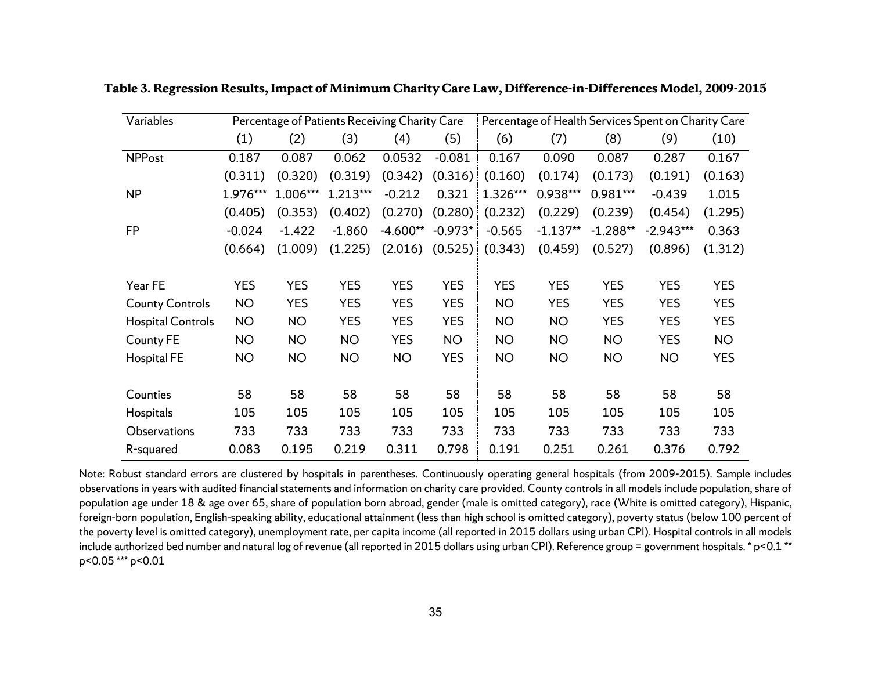| Variables                |            |            | Percentage of Patients Receiving Charity Care |            |            | Percentage of Health Services Spent on Charity Care |            |            |             |            |
|--------------------------|------------|------------|-----------------------------------------------|------------|------------|-----------------------------------------------------|------------|------------|-------------|------------|
|                          | (1)        | (2)        | (3)                                           | (4)        | (5)        | (6)                                                 | (7)        | (8)        | (9)         | (10)       |
| <b>NPPost</b>            | 0.187      | 0.087      | 0.062                                         | 0.0532     | $-0.081$   | 0.167                                               | 0.090      | 0.087      | 0.287       | 0.167      |
|                          | (0.311)    | (0.320)    | (0.319)                                       | (0.342)    | (0.316)    | (0.160)                                             | (0.174)    | (0.173)    | (0.191)     | (0.163)    |
| <b>NP</b>                | 1.976***   | 1.006***   | 1.213***                                      | $-0.212$   | 0.321      | 1.326***                                            | 0.938***   | $0.981***$ | $-0.439$    | 1.015      |
|                          | (0.405)    | (0.353)    | (0.402)                                       | (0.270)    | (0.280)    | (0.232)                                             | (0.229)    | (0.239)    | (0.454)     | (1.295)    |
| <b>FP</b>                | $-0.024$   | $-1.422$   | $-1.860$                                      | $-4.600**$ | $-0.973*$  | $-0.565$                                            | $-1.137**$ | $-1.288**$ | $-2.943***$ | 0.363      |
|                          | (0.664)    | (1.009)    | (1.225)                                       | (2.016)    | (0.525)    | (0.343)                                             | (0.459)    | (0.527)    | (0.896)     | (1.312)    |
|                          |            |            |                                               |            |            |                                                     |            |            |             |            |
| Year FE                  | <b>YES</b> | <b>YES</b> | <b>YES</b>                                    | <b>YES</b> | <b>YES</b> | <b>YES</b>                                          | <b>YES</b> | <b>YES</b> | <b>YES</b>  | <b>YES</b> |
| <b>County Controls</b>   | <b>NO</b>  | <b>YES</b> | <b>YES</b>                                    | <b>YES</b> | <b>YES</b> | <b>NO</b>                                           | <b>YES</b> | <b>YES</b> | <b>YES</b>  | <b>YES</b> |
| <b>Hospital Controls</b> | <b>NO</b>  | <b>NO</b>  | <b>YES</b>                                    | <b>YES</b> | <b>YES</b> | <b>NO</b>                                           | <b>NO</b>  | <b>YES</b> | <b>YES</b>  | <b>YES</b> |
| County FE                | <b>NO</b>  | <b>NO</b>  | <b>NO</b>                                     | <b>YES</b> | <b>NO</b>  | <b>NO</b>                                           | <b>NO</b>  | <b>NO</b>  | <b>YES</b>  | <b>NO</b>  |
| <b>Hospital FE</b>       | <b>NO</b>  | <b>NO</b>  | <b>NO</b>                                     | <b>NO</b>  | <b>YES</b> | <b>NO</b>                                           | <b>NO</b>  | <b>NO</b>  | <b>NO</b>   | <b>YES</b> |
|                          |            |            |                                               |            |            |                                                     |            |            |             |            |
| Counties                 | 58         | 58         | 58                                            | 58         | 58         | 58                                                  | 58         | 58         | 58          | 58         |
| Hospitals                | 105        | 105        | 105                                           | 105        | 105        | 105                                                 | 105        | 105        | 105         | 105        |
| Observations             | 733        | 733        | 733                                           | 733        | 733        | 733                                                 | 733        | 733        | 733         | 733        |
| R-squared                | 0.083      | 0.195      | 0.219                                         | 0.311      | 0.798      | 0.191                                               | 0.251      | 0.261      | 0.376       | 0.792      |

**Table 3. Regression Results, Impact of Minimum Charity Care Law, Difference-in-Differences Model, 2009-2015**

Note: Robust standard errors are clustered by hospitals in parentheses. Continuously operating general hospitals (from 2009-2015). Sample includes observations in years with audited financial statements and information on charity care provided. County controls in all models include population, share of population age under 18 & age over 65, share of population born abroad, gender (male is omitted category), race (White is omitted category), Hispanic, foreign-born population, English-speaking ability, educational attainment (less than high school is omitted category), poverty status (below 100 percent of the poverty level is omitted category), unemployment rate, per capita income (all reported in 2015 dollars using urban CPI). Hospital controls in all models include authorized bed number and natural log of revenue (all reported in 2015 dollars using urban CPI). Reference group = government hospitals. \* p<0.1 \*\* p<0.05 \*\*\* p<0.01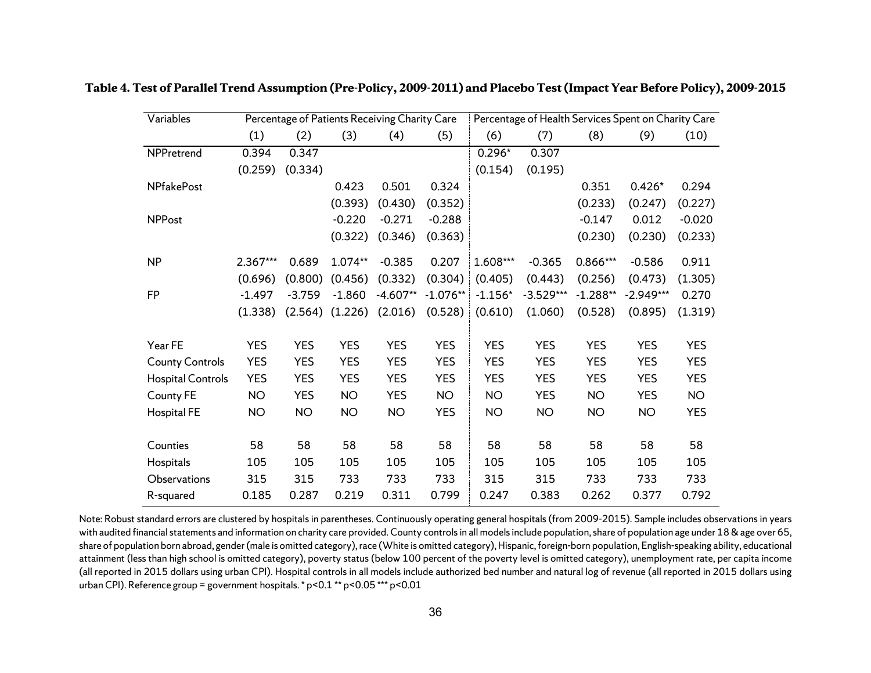| Variables                |            | Percentage of Patients Receiving Charity Care |            |            |            |            | Percentage of Health Services Spent on Charity Care |            |             |            |
|--------------------------|------------|-----------------------------------------------|------------|------------|------------|------------|-----------------------------------------------------|------------|-------------|------------|
|                          | (1)        | (2)                                           | (3)        | (4)        | (5)        | (6)        | (7)                                                 | (8)        | (9)         | (10)       |
| NPPretrend               | 0.394      | 0.347                                         |            |            |            | $0.296*$   | 0.307                                               |            |             |            |
|                          | (0.259)    | (0.334)                                       |            |            |            | (0.154)    | (0.195)                                             |            |             |            |
| <b>NPfakePost</b>        |            |                                               | 0.423      | 0.501      | 0.324      |            |                                                     | 0.351      | $0.426*$    | 0.294      |
|                          |            |                                               | (0.393)    | (0.430)    | (0.352)    |            |                                                     | (0.233)    | (0.247)     | (0.227)    |
| <b>NPPost</b>            |            |                                               | $-0.220$   | $-0.271$   | $-0.288$   |            |                                                     | $-0.147$   | 0.012       | $-0.020$   |
|                          |            |                                               | (0.322)    | (0.346)    | (0.363)    |            |                                                     | (0.230)    | (0.230)     | (0.233)    |
| <b>NP</b>                | 2.367***   | 0.689                                         | 1.074**    | $-0.385$   | 0.207      | 1.608***   | $-0.365$                                            | 0.866***   | $-0.586$    | 0.911      |
|                          | (0.696)    | (0.800)                                       | (0.456)    | (0.332)    | (0.304)    | (0.405)    | (0.443)                                             | (0.256)    | (0.473)     | (1.305)    |
| FP                       | $-1.497$   | $-3.759$                                      | $-1.860$   | $-4.607**$ | $-1.076**$ | $-1.156*$  | $-3.529***$                                         | $-1.288**$ | $-2.949***$ | 0.270      |
|                          | (1.338)    | (2.564)                                       | (1.226)    | (2.016)    | (0.528)    | (0.610)    | (1.060)                                             | (0.528)    | (0.895)     | (1.319)    |
| Year FE                  | <b>YES</b> | <b>YES</b>                                    | <b>YES</b> | <b>YES</b> | <b>YES</b> | <b>YES</b> | <b>YES</b>                                          | <b>YES</b> | <b>YES</b>  | <b>YES</b> |
| <b>County Controls</b>   | <b>YES</b> | <b>YES</b>                                    | <b>YES</b> | <b>YES</b> | <b>YES</b> | <b>YES</b> | <b>YES</b>                                          | <b>YES</b> | <b>YES</b>  | <b>YES</b> |
| <b>Hospital Controls</b> | <b>YES</b> | <b>YES</b>                                    | <b>YES</b> | <b>YES</b> | <b>YES</b> | <b>YES</b> | <b>YES</b>                                          | <b>YES</b> | <b>YES</b>  | <b>YES</b> |
| County FE                | <b>NO</b>  | <b>YES</b>                                    | <b>NO</b>  | <b>YES</b> | <b>NO</b>  | <b>NO</b>  | <b>YES</b>                                          | <b>NO</b>  | <b>YES</b>  | <b>NO</b>  |
| Hospital FE              | <b>NO</b>  | <b>NO</b>                                     | <b>NO</b>  | <b>NO</b>  | <b>YES</b> | <b>NO</b>  | <b>NO</b>                                           | <b>NO</b>  | <b>NO</b>   | <b>YES</b> |
| Counties                 | 58         | 58                                            | 58         | 58         | 58         | 58         | 58                                                  | 58         | 58          | 58         |
| Hospitals                | 105        | 105                                           | 105        | 105        | 105        | 105        | 105                                                 | 105        | 105         | 105        |
| Observations             | 315        | 315                                           | 733        | 733        | 733        | 315        | 315                                                 | 733        | 733         | 733        |
|                          |            |                                               | 0.219      |            | 0.799      | 0.247      |                                                     |            |             | 0.792      |
| R-squared                | 0.185      | 0.287                                         |            | 0.311      |            |            | 0.383                                               | 0.262      | 0.377       |            |

**Table 4. Test of Parallel Trend Assumption (Pre-Policy, 2009-2011) and Placebo Test(Impact Year Before Policy), 2009-2015**

Note: Robust standard errors are clustered by hospitals in parentheses. Continuously operating general hospitals (from 2009-2015). Sample includes observations in years with audited financial statements and information on charity care provided. County controls in all models include population, share of population age under 18 & age over 65, share of population born abroad, gender (male is omitted category), race (White is omitted category), Hispanic, foreign-born population, English-speaking ability, educational attainment (less than high school is omitted category), poverty status (below 100 percent of the poverty level is omitted category), unemployment rate, per capita income (all reported in 2015 dollars using urban CPI). Hospital controls in all models include authorized bed number and natural log of revenue (all reported in 2015 dollars using urban CPI). Reference group = government hospitals. \* p<0.1 \*\* p<0.05 \*\*\* p<0.01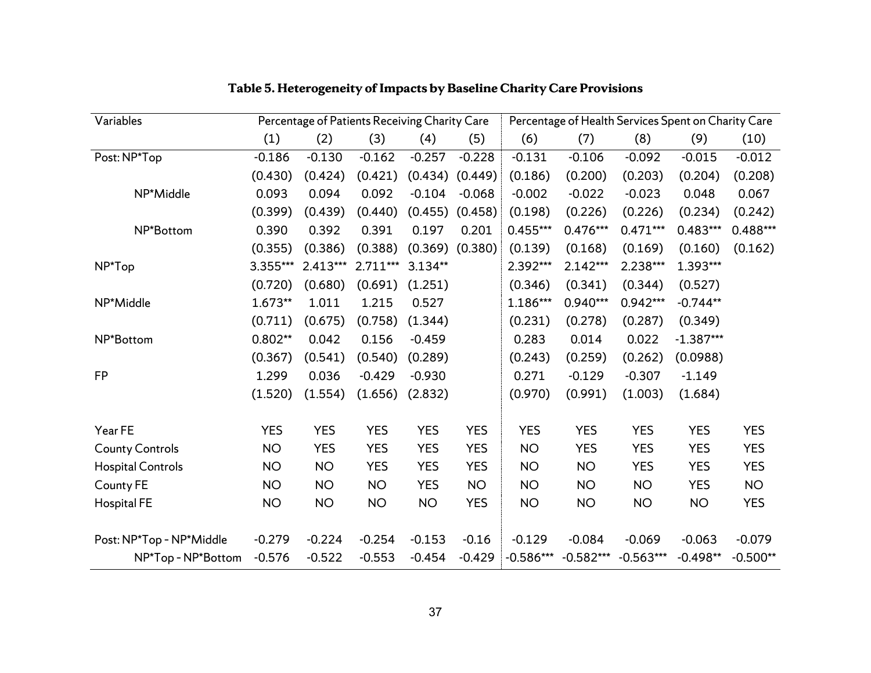| Variables                |            | Percentage of Patients Receiving Charity Care |            |            |            |             |             | Percentage of Health Services Spent on Charity Care |             |            |
|--------------------------|------------|-----------------------------------------------|------------|------------|------------|-------------|-------------|-----------------------------------------------------|-------------|------------|
|                          | (1)        | (2)                                           | (3)        | (4)        | (5)        | (6)         | (7)         | (8)                                                 | (9)         | (10)       |
| Post: NP*Top             | $-0.186$   | $-0.130$                                      | $-0.162$   | $-0.257$   | $-0.228$   | $-0.131$    | $-0.106$    | $-0.092$                                            | $-0.015$    | $-0.012$   |
|                          | (0.430)    | (0.424)                                       | (0.421)    | (0.434)    | (0.449)    | (0.186)     | (0.200)     | (0.203)                                             | (0.204)     | (0.208)    |
| NP*Middle                | 0.093      | 0.094                                         | 0.092      | $-0.104$   | $-0.068$   | $-0.002$    | $-0.022$    | $-0.023$                                            | 0.048       | 0.067      |
|                          | (0.399)    | (0.439)                                       | (0.440)    | (0.455)    | (0.458)    | (0.198)     | (0.226)     | (0.226)                                             | (0.234)     | (0.242)    |
| NP*Bottom                | 0.390      | 0.392                                         | 0.391      | 0.197      | 0.201      | $0.455***$  | $0.476***$  | $0.471***$                                          | 0.483***    | 0.488***   |
|                          | (0.355)    | (0.386)                                       | (0.388)    | (0.369)    | (0.380)    | (0.139)     | (0.168)     | (0.169)                                             | (0.160)     | (0.162)    |
| NP*Top                   | 3.355***   | $2.413***$                                    | $2.711***$ | 3.134**    |            | 2.392***    | $2.142***$  | 2.238***                                            | 1.393***    |            |
|                          | (0.720)    | (0.680)                                       | (0.691)    | (1.251)    |            | (0.346)     | (0.341)     | (0.344)                                             | (0.527)     |            |
| NP*Middle                | 1.673**    | 1.011                                         | 1.215      | 0.527      |            | 1.186***    | $0.940***$  | $0.942***$                                          | $-0.744**$  |            |
|                          | (0.711)    | (0.675)                                       | (0.758)    | (1.344)    |            | (0.231)     | (0.278)     | (0.287)                                             | (0.349)     |            |
| NP*Bottom                | $0.802**$  | 0.042                                         | 0.156      | $-0.459$   |            | 0.283       | 0.014       | 0.022                                               | $-1.387***$ |            |
|                          | (0.367)    | (0.541)                                       | (0.540)    | (0.289)    |            | (0.243)     | (0.259)     | (0.262)                                             | (0.0988)    |            |
| <b>FP</b>                | 1.299      | 0.036                                         | $-0.429$   | $-0.930$   |            | 0.271       | $-0.129$    | $-0.307$                                            | $-1.149$    |            |
|                          | (1.520)    | (1.554)                                       | (1.656)    | (2.832)    |            | (0.970)     | (0.991)     | (1.003)                                             | (1.684)     |            |
| Year FE                  | <b>YES</b> | <b>YES</b>                                    | <b>YES</b> | <b>YES</b> | <b>YES</b> | <b>YES</b>  | <b>YES</b>  | <b>YES</b>                                          | <b>YES</b>  | <b>YES</b> |
| <b>County Controls</b>   | <b>NO</b>  | <b>YES</b>                                    | <b>YES</b> | <b>YES</b> | <b>YES</b> | <b>NO</b>   | <b>YES</b>  | <b>YES</b>                                          | <b>YES</b>  | <b>YES</b> |
| <b>Hospital Controls</b> | <b>NO</b>  | <b>NO</b>                                     | <b>YES</b> | <b>YES</b> | <b>YES</b> | <b>NO</b>   | <b>NO</b>   | <b>YES</b>                                          | <b>YES</b>  | <b>YES</b> |
| County FE                | <b>NO</b>  | <b>NO</b>                                     | <b>NO</b>  | <b>YES</b> | <b>NO</b>  | <b>NO</b>   | <b>NO</b>   | <b>NO</b>                                           | <b>YES</b>  | <b>NO</b>  |
| <b>Hospital FE</b>       | <b>NO</b>  | <b>NO</b>                                     | <b>NO</b>  | <b>NO</b>  | <b>YES</b> | <b>NO</b>   | <b>NO</b>   | <b>NO</b>                                           | <b>NO</b>   | <b>YES</b> |
| Post: NP*Top - NP*Middle | $-0.279$   | $-0.224$                                      | $-0.254$   | $-0.153$   | $-0.16$    | $-0.129$    | $-0.084$    | $-0.069$                                            | $-0.063$    | $-0.079$   |
| NP*Top-NP*Bottom         | $-0.576$   | $-0.522$                                      | $-0.553$   | $-0.454$   | $-0.429$   | $-0.586***$ | $-0.582***$ | $-0.563***$                                         | $-0.498**$  | $-0.500**$ |

# **Table 5. Heterogeneity of Impacts by Baseline Charity Care Provisions**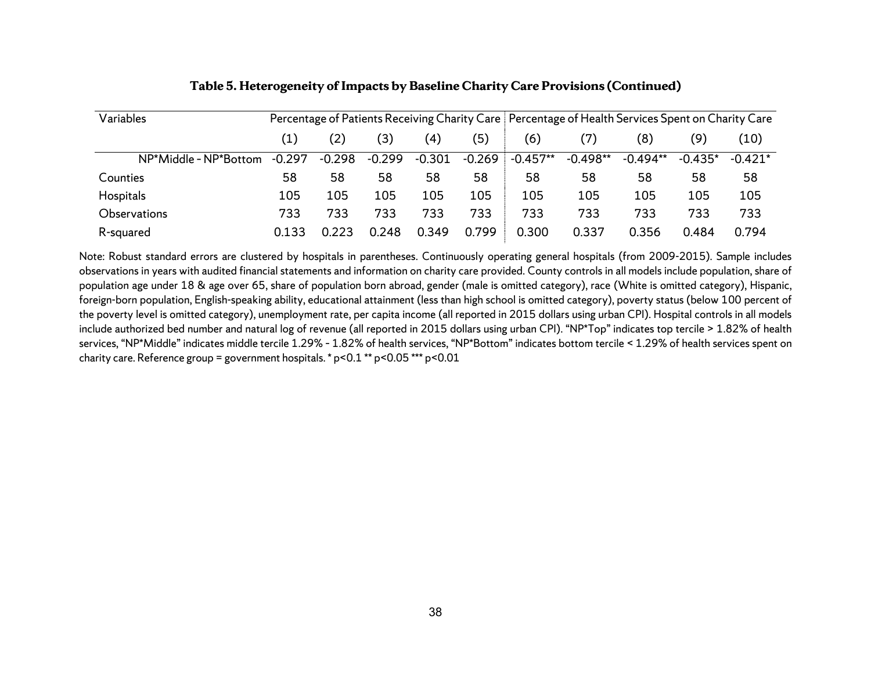| Variables             |          | Percentage of Patients Receiving Charity Care   Percentage of Health Services Spent on Charity Care |                |                   |          |            |            |            |           |           |
|-----------------------|----------|-----------------------------------------------------------------------------------------------------|----------------|-------------------|----------|------------|------------|------------|-----------|-----------|
|                       | (1)      | (2)                                                                                                 | $^{\prime}$ 3) | $\left( 4\right)$ | (5)      | (6)        | 7)         | (8)        | (9)       | (10)      |
| NP*Middle - NP*Bottom | $-0.297$ | $-0.298$                                                                                            | $-0.299$       | $-0.301$          | $-0.269$ | $-0.457**$ | $-0.498**$ | $-0.494**$ | $-0.435*$ | $-0.421*$ |
| Counties              | 58       | 58                                                                                                  | 58             | 58                | 58       | 58         | 58         | 58         | 58        | 58        |
| Hospitals             | 105      | 105                                                                                                 | 105            | 105               | 105      | 105        | 105        | 105        | 105       | 105       |
| Observations          | 733      | 733                                                                                                 | 733            | 733               | 733      | 733        | 733        | 733        | 733       | 733       |
| R-squared             | 0.133    | 0.223                                                                                               | 0.248          | 0.349             | 0.799    | 0.300      | 0.337      | 0.356      | 0.484     | 0.794     |

### **Table 5. Heterogeneity of Impacts by Baseline Charity Care Provisions (Continued)**

Note: Robust standard errors are clustered by hospitals in parentheses. Continuously operating general hospitals (from 2009-2015). Sample includes observations in years with audited financial statements and information on charity care provided. County controls in all models include population, share of population age under 18 & age over 65, share of population born abroad, gender (male is omitted category), race (White is omitted category), Hispanic, foreign-born population, English-speaking ability, educational attainment (less than high school is omitted category), poverty status (below 100 percent of the poverty level is omitted category), unemployment rate, per capita income (all reported in 2015 dollars using urban CPI). Hospital controls in all models include authorized bed number and natural log of revenue (all reported in 2015 dollars using urban CPI). "NP\*Top" indicates top tercile > 1.82% of health services, "NP\*Middle" indicates middle tercile 1.29% – 1.82% of health services, "NP\*Bottom" indicates bottom tercile < 1.29% of health services spent on charity care. Reference group = government hospitals. \*  $p$  < 0.1 \*\*  $p$  < 0.05 \*\*\*  $p$  < 0.01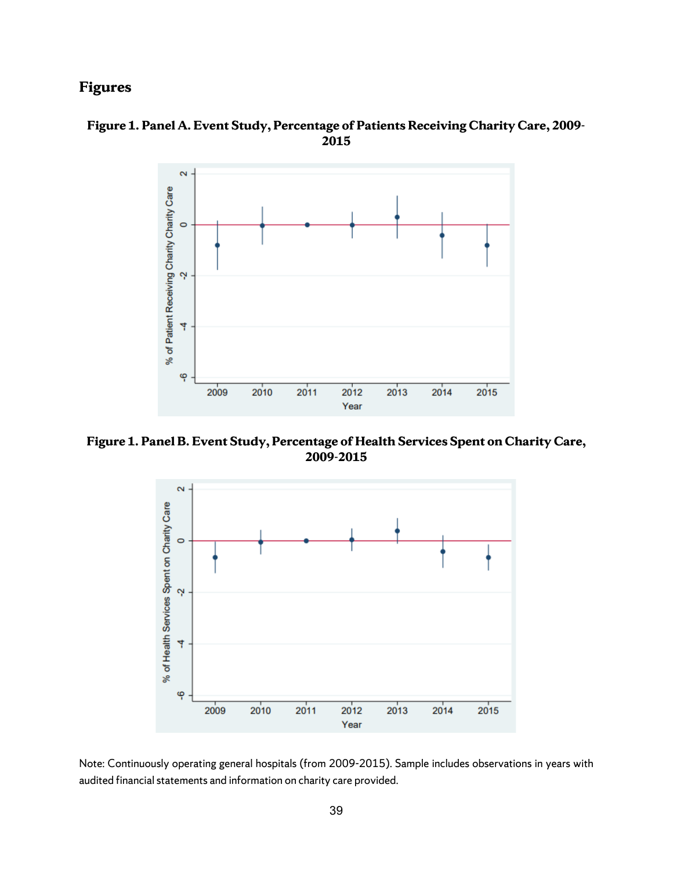# **Figures**





**Figure 1. Panel B. Event Study, Percentage of Health Services Spent on Charity Care, 2009-2015**



Note: Continuously operating general hospitals (from 2009-2015). Sample includes observations in years with audited financial statements and information on charity care provided.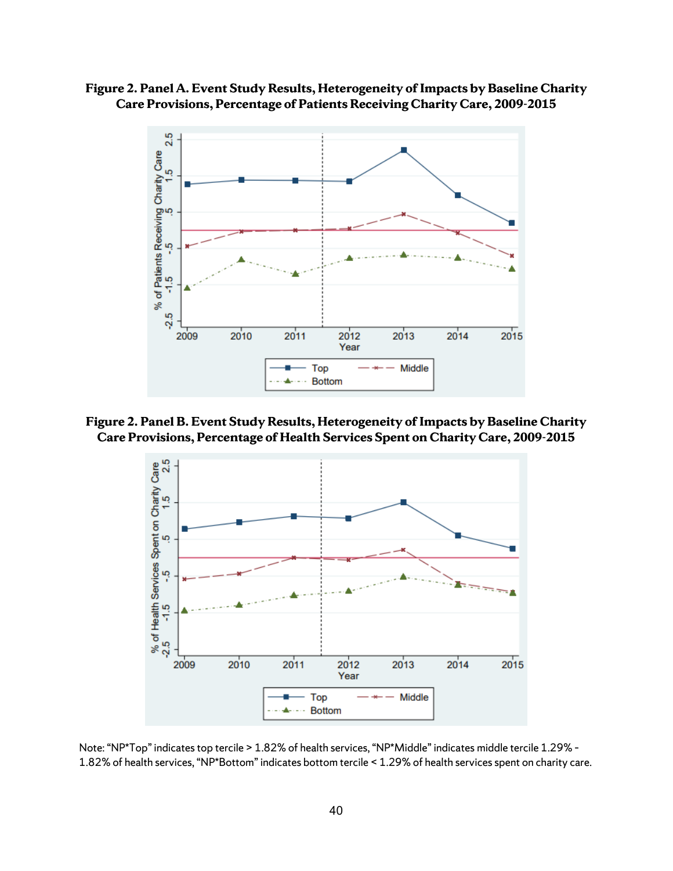**Figure 2. Panel A. Event Study Results, Heterogeneity of Impacts by Baseline Charity Care Provisions, Percentage of Patients Receiving Charity Care, 2009-2015**



**Figure 2. Panel B. Event Study Results, Heterogeneity of Impacts by Baseline Charity Care Provisions, Percentage of Health Services Spent on Charity Care, 2009-2015**



Note: "NP\*Top" indicates top tercile > 1.82% of health services, "NP\*Middle" indicates middle tercile 1.29% – 1.82% of health services, "NP\*Bottom" indicates bottom tercile < 1.29% of health services spent on charity care.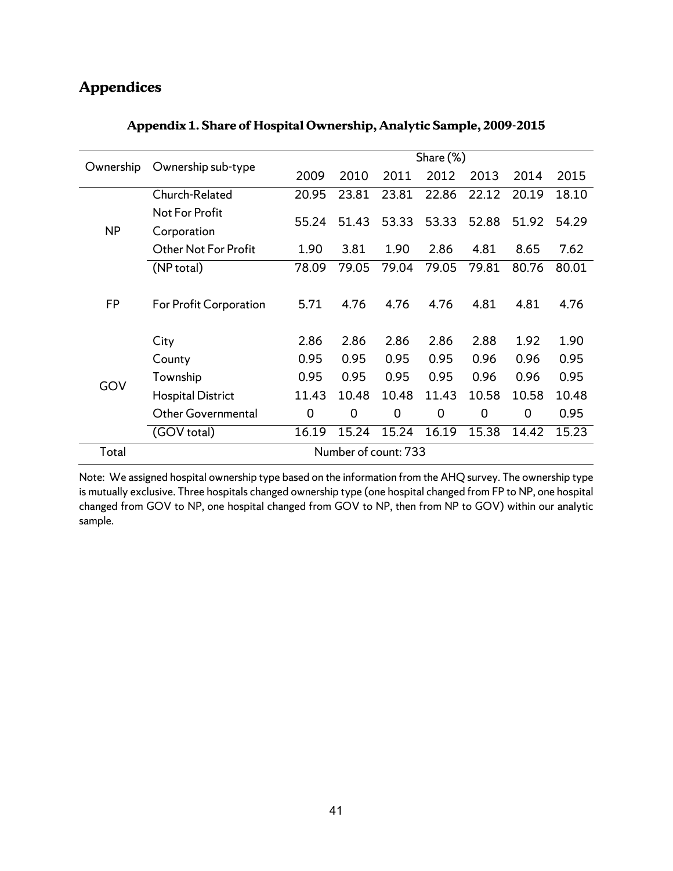# **Appendices**

| Ownership | Ownership sub-type       |             |       |       | Share (%) |       |       |       |  |  |  |  |
|-----------|--------------------------|-------------|-------|-------|-----------|-------|-------|-------|--|--|--|--|
|           |                          | 2009        | 2010  | 2011  | 2012      | 2013  | 2014  | 2015  |  |  |  |  |
|           | Church-Related           | 20.95       | 23.81 | 23.81 | 22.86     | 22.12 | 20.19 | 18.10 |  |  |  |  |
|           | Not For Profit           | 55.24       | 51.43 | 53.33 | 53.33     | 52.88 | 51.92 | 54.29 |  |  |  |  |
| <b>NP</b> | Corporation              |             |       |       |           |       |       |       |  |  |  |  |
|           | Other Not For Profit     | 1.90        | 3.81  | 1.90  | 2.86      | 4.81  | 8.65  | 7.62  |  |  |  |  |
|           | (NP total)               | 78.09       | 79.05 | 79.04 | 79.05     | 79.81 | 80.76 | 80.01 |  |  |  |  |
| <b>FP</b> |                          |             |       |       |           |       |       |       |  |  |  |  |
|           | For Profit Corporation   | 5.71        | 4.76  | 4.76  | 4.76      | 4.81  | 4.81  | 4.76  |  |  |  |  |
|           |                          |             |       |       |           |       |       |       |  |  |  |  |
|           | City                     | 2.86        | 2.86  | 2.86  | 2.86      | 2.88  | 1.92  | 1.90  |  |  |  |  |
|           | County                   | 0.95        | 0.95  | 0.95  | 0.95      | 0.96  | 0.96  | 0.95  |  |  |  |  |
| GOV       | Township                 | 0.95        | 0.95  | 0.95  | 0.95      | 0.96  | 0.96  | 0.95  |  |  |  |  |
|           | <b>Hospital District</b> | 11.43       | 10.48 | 10.48 | 11.43     | 10.58 | 10.58 | 10.48 |  |  |  |  |
|           | Other Governmental       | $\mathbf 0$ | 0     | 0     | 0         | 0     | 0     | 0.95  |  |  |  |  |
|           | (GOV total)              | 16.19       | 15.24 | 15.24 | 16.19     | 15.38 | 14.42 | 15.23 |  |  |  |  |
| Total     | Number of count: 733     |             |       |       |           |       |       |       |  |  |  |  |

# **Appendix 1. Share of Hospital Ownership, Analytic Sample, 2009-2015**

Note: We assigned hospital ownership type based on the information from the AHQ survey. The ownership type is mutually exclusive. Three hospitals changed ownership type (one hospital changed from FP to NP, one hospital changed from GOV to NP, one hospital changed from GOV to NP, then from NP to GOV) within our analytic sample.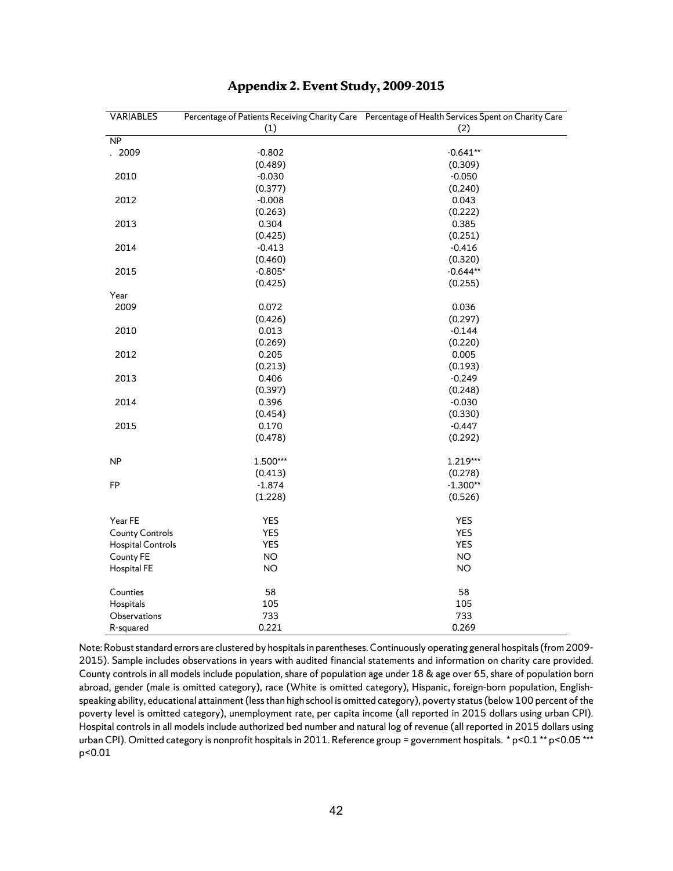| VARIABLES                |            | Percentage of Patients Receiving Charity Care Percentage of Health Services Spent on Charity Care |  |  |  |  |
|--------------------------|------------|---------------------------------------------------------------------------------------------------|--|--|--|--|
|                          | (1)        | (2)                                                                                               |  |  |  |  |
| NP                       |            |                                                                                                   |  |  |  |  |
| . 2009                   | $-0.802$   | $-0.641**$                                                                                        |  |  |  |  |
|                          | (0.489)    | (0.309)                                                                                           |  |  |  |  |
| 2010                     | $-0.030$   | $-0.050$                                                                                          |  |  |  |  |
|                          | (0.377)    | (0.240)                                                                                           |  |  |  |  |
| 2012                     | $-0.008$   | 0.043                                                                                             |  |  |  |  |
|                          | (0.263)    | (0.222)                                                                                           |  |  |  |  |
| 2013                     | 0.304      | 0.385                                                                                             |  |  |  |  |
|                          | (0.425)    | (0.251)                                                                                           |  |  |  |  |
| 2014                     | $-0.413$   | $-0.416$                                                                                          |  |  |  |  |
|                          | (0.460)    | (0.320)                                                                                           |  |  |  |  |
| 2015                     | $-0.805*$  | $-0.644**$                                                                                        |  |  |  |  |
|                          | (0.425)    | (0.255)                                                                                           |  |  |  |  |
| Year                     |            |                                                                                                   |  |  |  |  |
| 2009                     | 0.072      | 0.036                                                                                             |  |  |  |  |
|                          | (0.426)    | (0.297)                                                                                           |  |  |  |  |
| 2010                     | 0.013      | $-0.144$                                                                                          |  |  |  |  |
|                          | (0.269)    | (0.220)                                                                                           |  |  |  |  |
| 2012                     | 0.205      | 0.005                                                                                             |  |  |  |  |
|                          | (0.213)    | (0.193)                                                                                           |  |  |  |  |
| 2013                     | 0.406      | $-0.249$                                                                                          |  |  |  |  |
|                          | (0.397)    | (0.248)                                                                                           |  |  |  |  |
| 2014                     | 0.396      | $-0.030$                                                                                          |  |  |  |  |
|                          | (0.454)    | (0.330)                                                                                           |  |  |  |  |
| 2015                     | 0.170      | $-0.447$                                                                                          |  |  |  |  |
|                          | (0.478)    | (0.292)                                                                                           |  |  |  |  |
|                          |            |                                                                                                   |  |  |  |  |
| NP                       | 1.500***   | 1.219***                                                                                          |  |  |  |  |
|                          | (0.413)    | (0.278)                                                                                           |  |  |  |  |
| FP                       | $-1.874$   | $-1.300**$                                                                                        |  |  |  |  |
|                          | (1.228)    | (0.526)                                                                                           |  |  |  |  |
|                          |            |                                                                                                   |  |  |  |  |
| Year FE                  | YES        | <b>YES</b>                                                                                        |  |  |  |  |
| <b>County Controls</b>   | <b>YES</b> | <b>YES</b>                                                                                        |  |  |  |  |
| <b>Hospital Controls</b> | <b>YES</b> | <b>YES</b>                                                                                        |  |  |  |  |
| County FE                | NO         | <b>NO</b>                                                                                         |  |  |  |  |
| <b>Hospital FE</b>       | <b>NO</b>  | <b>NO</b>                                                                                         |  |  |  |  |
|                          |            |                                                                                                   |  |  |  |  |
| Counties                 | 58         | 58                                                                                                |  |  |  |  |
| Hospitals                | 105        | 105                                                                                               |  |  |  |  |
| Observations             | 733        | 733                                                                                               |  |  |  |  |
| R-squared                | 0.221      | 0.269                                                                                             |  |  |  |  |

### **Appendix 2. Event Study, 2009-2015**

Note: Robust standard errors are clustered by hospitals in parentheses. Continuously operating general hospitals (from 2009- 2015). Sample includes observations in years with audited financial statements and information on charity care provided. County controls in all models include population, share of population age under 18 & age over 65, share of population born abroad, gender (male is omitted category), race (White is omitted category), Hispanic, foreign-born population, Englishspeaking ability, educational attainment (less than high school is omitted category), poverty status (below 100 percent of the poverty level is omitted category), unemployment rate, per capita income (all reported in 2015 dollars using urban CPI). Hospital controls in all models include authorized bed number and natural log of revenue (all reported in 2015 dollars using urban CPI). Omitted category is nonprofit hospitals in 2011. Reference group = government hospitals. \* p<0.1 \*\* p<0.05 \*\*\* p<0.01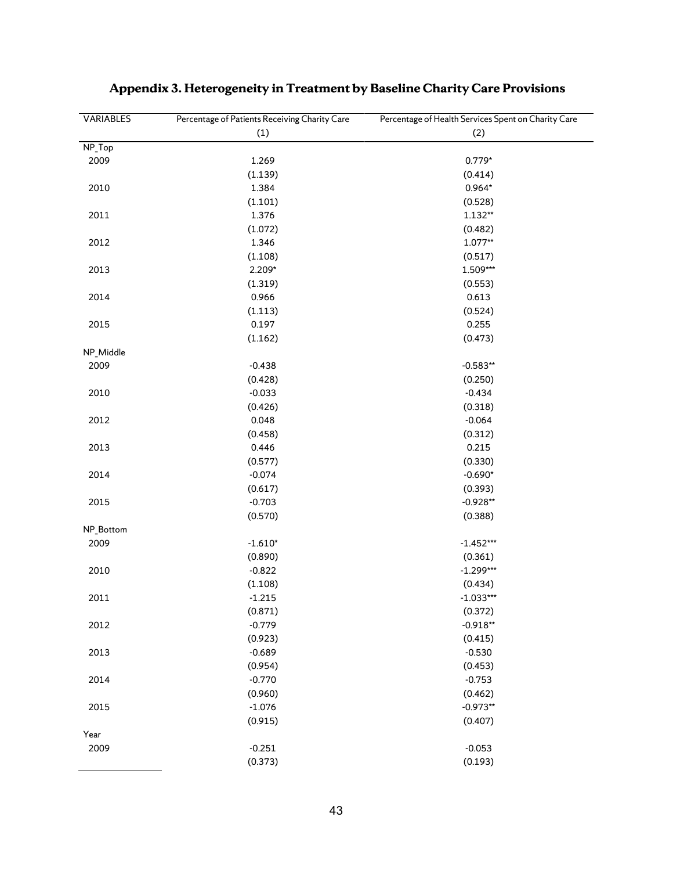| <b>VARIABLES</b> | Percentage of Patients Receiving Charity Care | Percentage of Health Services Spent on Charity Care |  |  |
|------------------|-----------------------------------------------|-----------------------------------------------------|--|--|
|                  | (1)                                           | (2)                                                 |  |  |
| NP_Top           |                                               |                                                     |  |  |
| 2009             | 1.269                                         | $0.779*$                                            |  |  |
|                  | (1.139)                                       | (0.414)                                             |  |  |
| 2010             | 1.384                                         | $0.964*$                                            |  |  |
|                  | (1.101)                                       | (0.528)                                             |  |  |
| 2011             | 1.376                                         | $1.132**$                                           |  |  |
|                  | (1.072)                                       | (0.482)                                             |  |  |
| 2012             | 1.346                                         | $1.077**$                                           |  |  |
|                  | (1.108)                                       | (0.517)                                             |  |  |
| 2013             | 2.209*                                        | 1.509***                                            |  |  |
|                  | (1.319)                                       | (0.553)                                             |  |  |
| 2014             | 0.966                                         | 0.613                                               |  |  |
|                  | (1.113)                                       | (0.524)                                             |  |  |
| 2015             | 0.197                                         | 0.255                                               |  |  |
|                  | (1.162)                                       | (0.473)                                             |  |  |
| NP_Middle        |                                               |                                                     |  |  |
| 2009             | $-0.438$                                      | $-0.583**$                                          |  |  |
|                  | (0.428)                                       | (0.250)                                             |  |  |
| 2010             | $-0.033$                                      | $-0.434$                                            |  |  |
|                  | (0.426)                                       | (0.318)                                             |  |  |
| 2012             | 0.048                                         | $-0.064$                                            |  |  |
|                  | (0.458)                                       | (0.312)                                             |  |  |
| 2013             | 0.446                                         | 0.215                                               |  |  |
|                  | (0.577)                                       | (0.330)                                             |  |  |
| 2014             | $-0.074$                                      | $-0.690*$                                           |  |  |
|                  | (0.617)                                       | (0.393)                                             |  |  |
| 2015             | $-0.703$                                      | $-0.928**$                                          |  |  |
|                  | (0.570)                                       | (0.388)                                             |  |  |
| NP_Bottom        |                                               |                                                     |  |  |
| 2009             | $-1.610*$                                     | $-1.452***$                                         |  |  |
|                  | (0.890)                                       | (0.361)                                             |  |  |
| 2010             | $-0.822$                                      | $-1.299***$                                         |  |  |
|                  | (1.108)                                       | (0.434)                                             |  |  |
| 2011             | $-1.215$                                      | $-1.033***$                                         |  |  |
|                  | (0.871)                                       | (0.372)                                             |  |  |
| 2012             | $-0.779$                                      | $-0.918**$                                          |  |  |
|                  | (0.923)                                       | (0.415)                                             |  |  |
| 2013             | $-0.689$                                      | $-0.530$                                            |  |  |
|                  | (0.954)                                       | (0.453)                                             |  |  |
| 2014             | $-0.770$                                      | $-0.753$                                            |  |  |
|                  | (0.960)                                       | (0.462)                                             |  |  |
| 2015             | $-1.076$                                      | $-0.973**$                                          |  |  |
|                  | (0.915)                                       | (0.407)                                             |  |  |
| Year             |                                               |                                                     |  |  |
| 2009             | $-0.251$                                      | $-0.053$                                            |  |  |
|                  | (0.373)                                       | (0.193)                                             |  |  |

# **Appendix 3. Heterogeneity in Treatment by Baseline Charity Care Provisions**